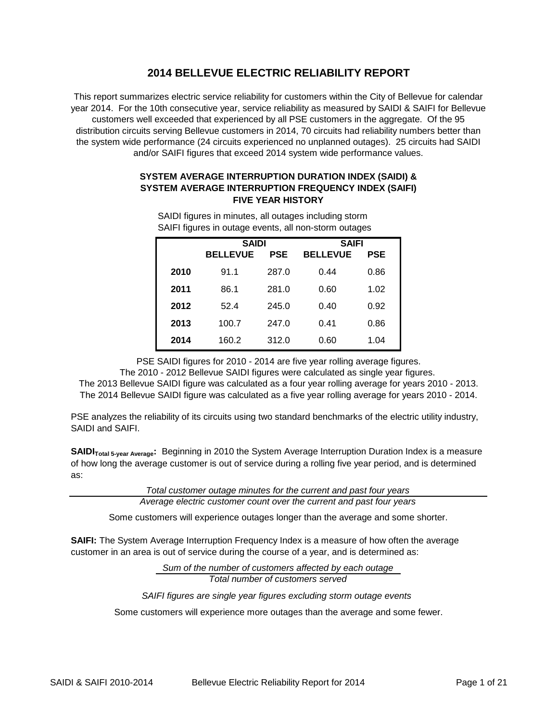# **2014 BELLEVUE ELECTRIC RELIABILITY REPORT**

This report summarizes electric service reliability for customers within the City of Bellevue for calendar year 2014. For the 10th consecutive year, service reliability as measured by SAIDI & SAIFI for Bellevue customers well exceeded that experienced by all PSE customers in the aggregate. Of the 95 distribution circuits serving Bellevue customers in 2014, 70 circuits had reliability numbers better than the system wide performance (24 circuits experienced no unplanned outages). 25 circuits had SAIDI and/or SAIFI figures that exceed 2014 system wide performance values.

## **SYSTEM AVERAGE INTERRUPTION DURATION INDEX (SAIDI) & SYSTEM AVERAGE INTERRUPTION FREQUENCY INDEX (SAIFI) FIVE YEAR HISTORY**

|      |                 |            | ັ            |            |  |
|------|-----------------|------------|--------------|------------|--|
|      | <b>SAIDI</b>    |            | <b>SAIFI</b> |            |  |
|      | <b>BELLEVUE</b> | <b>PSE</b> |              | <b>PSE</b> |  |
| 2010 | 91.1            | 287.0      | 0.44         | 0.86       |  |
| 2011 | 86.1            | 281.0      | 0.60         | 1.02       |  |
| 2012 | 52.4            | 245.0      | 0.40         | 0.92       |  |
| 2013 | 100.7           | 247.0      | 0.41         | 0.86       |  |
| 2014 | 160.2           | 312.0      | 0.60         | 1.04       |  |

SAIFI figures in outage events, all non-storm outages SAIDI figures in minutes, all outages including storm

PSE SAIDI figures for 2010 - 2014 are five year rolling average figures.

The 2010 - 2012 Bellevue SAIDI figures were calculated as single year figures.

The 2013 Bellevue SAIDI figure was calculated as a four year rolling average for years 2010 - 2013.

The 2014 Bellevue SAIDI figure was calculated as a five year rolling average for years 2010 - 2014.

PSE analyzes the reliability of its circuits using two standard benchmarks of the electric utility industry, SAIDI and SAIFI.

**SAIDI**<sub>Total 5-year Average: Beginning in 2010 the System Average Interruption Duration Index is a measure</sub> of how long the average customer is out of service during a rolling five year period, and is determined as:

*Total customer outage minutes for the current and past four years*

*Average electric customer count over the current and past four years*

Some customers will experience outages longer than the average and some shorter.

**SAIFI:** The System Average Interruption Frequency Index is a measure of how often the average customer in an area is out of service during the course of a year, and is determined as:

> *Sum of the number of customers affected by each outage Total number of customers served*

*SAIFI figures are single year figures excluding storm outage events* 

Some customers will experience more outages than the average and some fewer.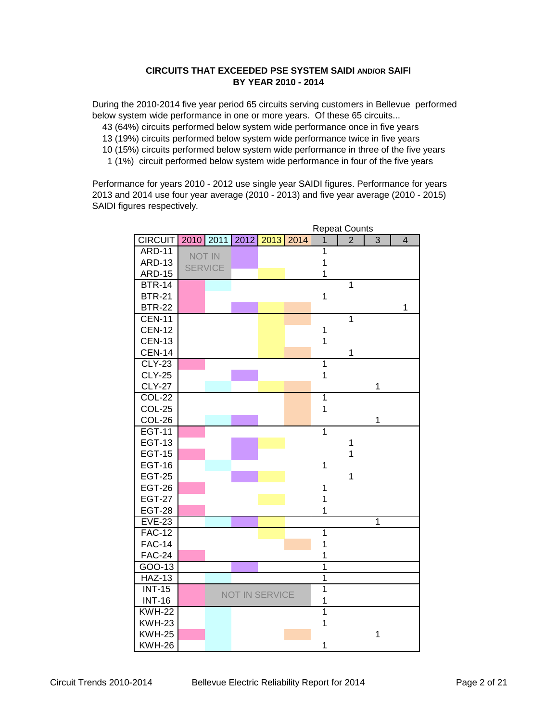## **CIRCUITS THAT EXCEEDED PSE SYSTEM SAIDI AND/OR SAIFI BY YEAR 2010 - 2014**

During the 2010-2014 five year period 65 circuits serving customers in Bellevue performed below system wide performance in one or more years. Of these 65 circuits...

- 43 (64%) circuits performed below system wide performance once in five years
- 13 (19%) circuits performed below system wide performance twice in five years
- 10 (15%) circuits performed below system wide performance in three of the five years
- 1 (1%) circuit performed below system wide performance in four of the five years

Performance for years 2010 - 2012 use single year SAIDI figures. Performance for years 2013 and 2014 use four year average (2010 - 2013) and five year average (2010 - 2015) SAIDI figures respectively.

|                | <b>Repeat Counts</b> |                       |  |                |                |                |                |
|----------------|----------------------|-----------------------|--|----------------|----------------|----------------|----------------|
| <b>CIRCUIT</b> | 2010 2011            | 2012 2013 2014        |  | $\mathbf{1}$   | $\overline{2}$ | 3              | $\overline{4}$ |
| <b>ARD-11</b>  | <b>NOT IN</b>        |                       |  | $\overline{1}$ |                |                |                |
| <b>ARD-13</b>  | <b>SERVICE</b>       |                       |  | $\mathbf 1$    |                |                |                |
| <b>ARD-15</b>  |                      |                       |  | $\mathbf{1}$   |                |                |                |
| <b>BTR-14</b>  |                      |                       |  |                | $\mathbf{1}$   |                |                |
| <b>BTR-21</b>  |                      |                       |  | $\mathbf 1$    |                |                |                |
| <b>BTR-22</b>  |                      |                       |  |                |                |                | 1              |
| <b>CEN-11</b>  |                      |                       |  |                | 1              |                |                |
| <b>CEN-12</b>  |                      |                       |  | $\mathbf 1$    |                |                |                |
| <b>CEN-13</b>  |                      |                       |  | $\overline{1}$ |                |                |                |
| <b>CEN-14</b>  |                      |                       |  |                | $\mathbf 1$    |                |                |
| $CLY-23$       |                      |                       |  | $\overline{1}$ |                |                |                |
| <b>CLY-25</b>  |                      |                       |  | $\mathbf{1}$   |                |                |                |
| <b>CLY-27</b>  |                      |                       |  |                |                | 1              |                |
| <b>COL-22</b>  |                      |                       |  | $\overline{1}$ |                |                |                |
| <b>COL-25</b>  |                      |                       |  | $\overline{1}$ |                |                |                |
| COL-26         |                      |                       |  |                |                | $\mathbf{1}$   |                |
| <b>EGT-11</b>  |                      |                       |  | $\overline{1}$ |                |                |                |
| <b>EGT-13</b>  |                      |                       |  |                | 1              |                |                |
| <b>EGT-15</b>  |                      |                       |  |                | $\mathbf{1}$   |                |                |
| <b>EGT-16</b>  |                      |                       |  | 1              |                |                |                |
| <b>EGT-25</b>  |                      |                       |  |                | $\mathbf{1}$   |                |                |
| <b>EGT-26</b>  |                      |                       |  | 1              |                |                |                |
| <b>EGT-27</b>  |                      |                       |  | $\overline{1}$ |                |                |                |
| <b>EGT-28</b>  |                      |                       |  | $\mathbf 1$    |                |                |                |
| $EVE-23$       |                      |                       |  |                |                | $\overline{1}$ |                |
| $FAC-12$       |                      |                       |  | $\overline{1}$ |                |                |                |
| <b>FAC-14</b>  |                      |                       |  | $\mathbf{1}$   |                |                |                |
| <b>FAC-24</b>  |                      |                       |  | 1              |                |                |                |
| $GOO-13$       |                      |                       |  | $\overline{1}$ |                |                |                |
| <b>HAZ-13</b>  |                      |                       |  | $\overline{1}$ |                |                |                |
| <b>INT-15</b>  |                      | <b>NOT IN SERVICE</b> |  | $\overline{1}$ |                |                |                |
| <b>INT-16</b>  |                      |                       |  | 1              |                |                |                |
| <b>KWH-22</b>  |                      |                       |  | $\overline{1}$ |                |                |                |
| <b>KWH-23</b>  |                      |                       |  | 1              |                |                |                |
| <b>KWH-25</b>  |                      |                       |  |                |                | $\mathbf 1$    |                |
| <b>KWH-26</b>  |                      |                       |  | $\mathbf 1$    |                |                |                |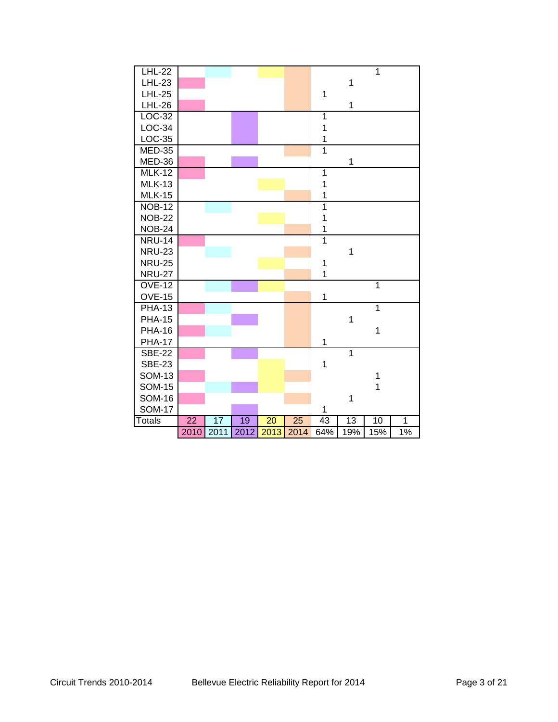| <b>LHL-22</b> |      |      |      |      |      |                |                | $\overline{1}$ |              |
|---------------|------|------|------|------|------|----------------|----------------|----------------|--------------|
| <b>LHL-23</b> |      |      |      |      |      |                | $\mathbf 1$    |                |              |
| <b>LHL-25</b> |      |      |      |      |      | $\mathbf 1$    |                |                |              |
| <b>LHL-26</b> |      |      |      |      |      |                | 1              |                |              |
| $LOC-32$      |      |      |      |      |      | $\mathbf 1$    |                |                |              |
| $LOC-34$      |      |      |      |      |      | $\mathbf 1$    |                |                |              |
| $LOC-35$      |      |      |      |      |      | $\mathbf 1$    |                |                |              |
| <b>MED-35</b> |      |      |      |      |      | $\overline{1}$ |                |                |              |
| MED-36        |      |      |      |      |      |                | $\mathbf 1$    |                |              |
| <b>MLK-12</b> |      |      |      |      |      | $\overline{1}$ |                |                |              |
| <b>MLK-13</b> |      |      |      |      |      | $\mathbf{1}$   |                |                |              |
| <b>MLK-15</b> |      |      |      |      |      | $\mathbf{1}$   |                |                |              |
| <b>NOB-12</b> |      |      |      |      |      | $\overline{1}$ |                |                |              |
| <b>NOB-22</b> |      |      |      |      |      | $\mathbf{1}$   |                |                |              |
| <b>NOB-24</b> |      |      |      |      |      | $\mathbf 1$    |                |                |              |
| <b>NRU-14</b> |      |      |      |      |      | $\overline{1}$ |                |                |              |
| <b>NRU-23</b> |      |      |      |      |      |                | $\mathbf 1$    |                |              |
| <b>NRU-25</b> |      |      |      |      |      | 1              |                |                |              |
| <b>NRU-27</b> |      |      |      |      |      | $\overline{1}$ |                |                |              |
| <b>OVE-12</b> |      |      |      |      |      |                |                | $\overline{1}$ |              |
| <b>OVE-15</b> |      |      |      |      |      | $\mathbf{1}$   |                |                |              |
| <b>PHA-13</b> |      |      |      |      |      |                |                | $\overline{1}$ |              |
| <b>PHA-15</b> |      |      |      |      |      |                | $\mathbf 1$    |                |              |
| <b>PHA-16</b> |      |      |      |      |      |                |                | $\mathbf{1}$   |              |
| <b>PHA-17</b> |      |      |      |      |      | 1              |                |                |              |
| <b>SBE-22</b> |      |      |      |      |      |                | $\overline{1}$ |                |              |
| <b>SBE-23</b> |      |      |      |      |      | $\mathbf 1$    |                |                |              |
| <b>SOM-13</b> |      |      |      |      |      |                |                | 1              |              |
| <b>SOM-15</b> |      |      |      |      |      |                |                | $\overline{1}$ |              |
| <b>SOM-16</b> |      |      |      |      |      |                | $\mathbf 1$    |                |              |
| <b>SOM-17</b> |      |      |      |      |      | $\mathbf{1}$   |                |                |              |
| <b>Totals</b> | 22   | 17   | 19   | 20   | 25   | 43             | 13             | 10             | $\mathbf{1}$ |
|               | 2010 | 2011 | 2012 | 2013 | 2014 | 64%            | 19%            | 15%            | $1\%$        |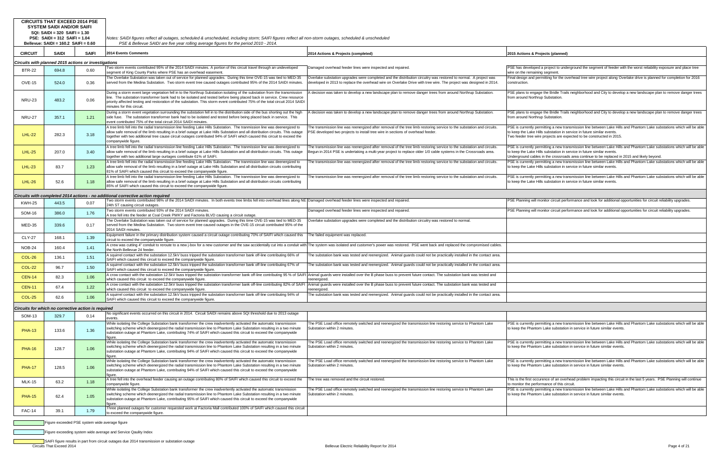|                | <b>CIRCUITS THAT EXCEED 2014 PSE</b><br><b>SYSTEM SAIDI AND/OR SAIFI</b><br>SQI: SAIDI = 320 SAIFI = 1.30 |              |                                                                                                                                                                                                                                                                                                                                                                                                                    |                                                                                                                                                                                                                                            |                                                                                                                         |
|----------------|-----------------------------------------------------------------------------------------------------------|--------------|--------------------------------------------------------------------------------------------------------------------------------------------------------------------------------------------------------------------------------------------------------------------------------------------------------------------------------------------------------------------------------------------------------------------|--------------------------------------------------------------------------------------------------------------------------------------------------------------------------------------------------------------------------------------------|-------------------------------------------------------------------------------------------------------------------------|
|                | <b>PSE: SAIDI = 312 SAIFI = 1.04</b>                                                                      |              | Notes: SAIDI figures reflect all outages, scheduled & unscheduled, including storm; SAIFI figures reflect all non-storm outages, scheduled & unscheduled                                                                                                                                                                                                                                                           |                                                                                                                                                                                                                                            |                                                                                                                         |
|                | Bellevue: $SAIDI = 160.2$ $SAIFI = 0.60$                                                                  |              | PSE & Bellevue SAIDI are five year rolling average figures for the period 2010 - 2014.                                                                                                                                                                                                                                                                                                                             |                                                                                                                                                                                                                                            |                                                                                                                         |
| <b>CIRCUIT</b> | <b>SAIDI</b>                                                                                              | <b>SAIFI</b> | 2014 Events Comments                                                                                                                                                                                                                                                                                                                                                                                               | 2014 Actions & Projects (completed)                                                                                                                                                                                                        | 2015 Actions & Projects (planned                                                                                        |
|                | Circuits with planned 2015 actions or investigations                                                      |              |                                                                                                                                                                                                                                                                                                                                                                                                                    |                                                                                                                                                                                                                                            |                                                                                                                         |
| <b>BTR-22</b>  | 694.8                                                                                                     | 0.60         | Two storm events contributed 95% of the 2014 SAIDI minutes. A portion of this circuit travel through an undeveloped<br>segment of King County Parks where PSE has an overhead easement.                                                                                                                                                                                                                            | Damaged overhead feeder lines were inspected and repaired.                                                                                                                                                                                 | PSE has developed a project to und<br>wire on the remaining segment.                                                    |
| <b>OVE-15</b>  | 524.0                                                                                                     | 0.36         | The Overlake Substation was taken out of service for planned upgrades. During this time OVE-15 was tied to MED-35<br>served from the Medina Substation. Two storm event tree caused outages contributed 95% of the 2014 SAIDI minutes.                                                                                                                                                                             | Overlake substation upgrades were completed and the distribution circuitry was restored to normal. A project was<br>developed in 2013 to replace the overhead wire on Overlake Drive with tree wire. The project was designed in 2014.     | Final design and permitting for the o<br>construction.                                                                  |
| <b>NRU-23</b>  | 483.2                                                                                                     | 0.06         | During a storm event large vegetation fell in to the Northrup Substation isolating of the substation from the transmission<br>line. The substation transformer bank had to be isolated and tested before being placed back in service. Crew resource<br>priority affected testing and restoration of the substation. This storm event contributed 75% of the total circuit 2014 SAIDI<br>minutes for this circuit. | A decision was taken to develop a new landscape plan to remove danger trees from around Northrup Substation.                                                                                                                               | PSE plans to engage the Bridle Trai<br>from around Northrup Substation.                                                 |
| <b>NRU-27</b>  | 357.1                                                                                                     | 1.21         | During a storm event vegetation surrounding the substation fell in to the distribution side of the bus shorting out the high<br>side fuse. The substation transformer bank had to be isolated and tested before being placed back in service. This<br>event contributed 75% of the total circuit 2014 SAIDI minutes.                                                                                               | A decision was taken to develop a new landscape plan to remove danger trees from around Northrup Substation.                                                                                                                               | PSE plans to engage the Bridle Trai<br>from around Northrup Substation.                                                 |
| <b>LHL-22</b>  | 282.3                                                                                                     | 3.18         | A tree limb fell into the radial transmission line feeding Lake Hills Substation. The tranmission line was deenergized to<br>allow safe removal of the limb resulting in a brief outage at Lake Hills Substation and all distribution circuits. This outage<br>together with two additional tree cause circuit outages contributed 94% of SAIFI which caused this circuit to exceed the<br>companywide figure.     | The transmission line was reenergized after removal of the tree limb restoring service to the substation and circuits.<br>PSE developed two projects to install tree wire in sections of overhead feeder.                                  | PSE is currently permitting a new tra<br>to keep the Lake Hills substation in s<br>Two feeder tree wire projects are ex |
| <b>LHL-25</b>  | 207.0                                                                                                     | 3.40         | A tree limb fell into the radial transmission line feeding Lake Hills Substation. The tranmission line was deenergized to<br>allow safe removal of the limb resulting in a brief outage at Lake Hills Substation and all distribution circuits. This outage<br>together with two additional large ourtages contribute 61% of SAIFI.                                                                                | The transmission line was reenergized after removal of the tree limb restoring service to the substation and circuits.<br>Begun in 2014 PSE is undertaking a multi-year project to replace older 1/0 cable systems in the Crossroads area. | PSE is currently permitting a new tra<br>to keep the Lake Hills substation in s<br>Underground cables in the crossroa   |
| <b>LHL-23</b>  | 83.7                                                                                                      | 1.23         | A tree limb fell into the radial transmission line feeding Lake Hills Substation. The tranmission line was deenergized to<br>allow safe removal of the limb resulting in a brief outage at Lake Hills Substation and all distribution circuits contributing<br>81% of SAIFI which caused this circuit to exceed the companywide figure.                                                                            | The transmission line was reenergized after removal of the tree limb restoring service to the substation and circuits.                                                                                                                     | PSE is currently permitting a new tra<br>to keep the Lake Hills substation in s                                         |
| $LHL-26$       | 52.6                                                                                                      | 1.18         | A tree limb fell into the radial transmission line feeding Lake Hills Substation. The tranmission line was deenergized to<br>allow safe removal of the limb resulting in a brief outage at Lake Hills Substation and all distribution circuits contributing<br>85% of SAIFI which caused this circuit to exceed the companywide figure.                                                                            | The transmission line was reenergized after removal of the tree limb restoring service to the substation and circuits.                                                                                                                     | PSE is currently permitting a new tra<br>to keep the Lake Hills substation in s                                         |
|                |                                                                                                           |              | Circuits with completed 2014 actions - no additional corrective action required                                                                                                                                                                                                                                                                                                                                    |                                                                                                                                                                                                                                            |                                                                                                                         |
| <b>KWH-25</b>  | 443.5                                                                                                     | 0.07         | Two storm events contributed 98% of the 2014 SAIDI minutes. In both events tree limbs fell into overhead lines along NE Damaged overhead feeder lines were inspected and repaired.<br>24th ST causing circuit outages.                                                                                                                                                                                             |                                                                                                                                                                                                                                            | PSE Planning will monitor circuit per                                                                                   |
| <b>SOM-16</b>  | 386.0                                                                                                     | 1.76         | Two storm events contributed 93% of the 2014 SAIDI minutes.<br>A tree fell into the feeder at Coal Creek PWKY and Factoria BLVD causing a circuit outage.                                                                                                                                                                                                                                                          | Damaged overhead feeder lines were inspected and repaired.                                                                                                                                                                                 | PSE Planning will monitor circuit per                                                                                   |
| MED-35         | 339.6                                                                                                     | 0.17         | The Overlake Substation was taken out of service for planned upgrades. During this time OVE-15 was tied to MED-35<br>served from the Medina Substation. Two storm event tree caused outages in the OVE-15 circuit contributed 95% of the<br>2014 SAIDI minutes.                                                                                                                                                    | Overlake substation upgrades were completed and the distribution circuitry was restored to normal.                                                                                                                                         |                                                                                                                         |
| <b>CLY-27</b>  | 168.1                                                                                                     | 1.39         | Equipment failure in the primary distribution system caused a circuit outage contributing 70% of SAIFI which caused this<br>circuit to exceed the companywide figure.                                                                                                                                                                                                                                              | The failed equipment was replaced.                                                                                                                                                                                                         |                                                                                                                         |
| <b>NOB-24</b>  | 160.4                                                                                                     | 1.41         | A crew was cutting 4" conduit to reroute to a new j-box for a new customer and the saw accidentally cut into a conduit with<br>the North Bellevue 24 feeder                                                                                                                                                                                                                                                        | The system was isolated and customer's power was restored. PSE went back and replaced the compromised cables.                                                                                                                              |                                                                                                                         |
| <b>COL-26</b>  | 136.1                                                                                                     | 1.51         | A squirrel contact with the substation 12.5kV buss tripped the substation transformer bank off-line contributing 66% of<br>SAIFI which caused this circuit to exceed the companywide figure.                                                                                                                                                                                                                       | The substation bank was tested and reenergized. Animal guards could not be practically installed in the contact area.                                                                                                                      |                                                                                                                         |
| <b>COL-22</b>  | 96.7                                                                                                      | 1.50         | A squirrel contact with the substation 12.5kV buss tripped the substation transformer bank off-line contributing 67% of<br>SAIFI which caused this circuit to exceed the companywide figure.                                                                                                                                                                                                                       | The substation bank was tested and reenergized. Animal guards could not be practically installed in the contact area.                                                                                                                      |                                                                                                                         |
| <b>CEN-14</b>  | 82.3                                                                                                      | 1.06         | A crow contact with the substation 12.5kV buss tripped the substation transformer bank off-line contributing 95 % of SAIFI Animal guards were installed over the B phase buss to prevent future contact. The substation bank w<br>which caused this circuit to exceed the companywide figure.                                                                                                                      | reenergized.                                                                                                                                                                                                                               |                                                                                                                         |
| <b>CEN-11</b>  | 67.4                                                                                                      | 1.22         | A crow contact with the substation 12.5kV buss tripped the substation transformer bank off-line contributing 82% of SAIFI<br>which caused this circuit to exceed the companywide figure.                                                                                                                                                                                                                           | Animal guards were installed over the B phase buss to prevent future contact. The substation bank was tested and<br>reenergized.                                                                                                           |                                                                                                                         |

The substation bank was tested and reenergized. Animal guards could not be practically installed in the contact area.

loped a project to underground the segment of feeder with the worst reliability exposure and place tree naining segment.

nd permitting for the overhead tree wire project along Overlake drive is planned for completion for 2016

A decision was taken to develop and Northrup Substandane plan arround Northrup Substantian. Position. Prom around the Bridle Trails neighborhood and City to develop a new landscape plan to remove danger trees orthrup Substation.

engage the Bridle Trails neighborhood and City to develop a new landscape plan to remove danger trees orthrup Substation.

Iy permitting a new transmission line between Lake Hills and Phantom Lake substations which will be able ke Hills substation in service in future similar events. e wire projects are expected to be constructed in 2015.

tly permitting a new transmission line between Lake Hills and Phantom Lake substations which will be able the Hills substation in service in future similar events.

cables in the crossroads area continue to be replaced in 2015 and likely beyond.

ly permitting a new transmission line between Lake Hills and Phantom Lake substations which will be able  $\frac{1}{2}$  Hills substation in service in future similar events.

tly permitting a new transmission line between Lake Hills and Phantom Lake substations which will be able ke Hills substation in service in future similar events.

will monitor circuit performance and look for additional opportunities for circuit reliability upgrades.

will monitor circuit performance and look for additional opportunities for circuit reliability upgrades.

itly permitting a new transmission line between Lake Hills and Phantom Lake substations which will be able to antom Lake substation in service in future similar events.

ntly permitting a new transmission line between Lake Hills and Phantom Lake substations which will be able the mantom Lake substation in service in future similar events.

ntly permitting a new transmission line between Lake Hills and Phantom Lake substations which will be able to keep the Rake substation in service in future similar events.

Intereduce of an overhead problem impacting this circuit in the last 5 years. PSE Planning will continue e performance of this circuit.

.<br>
Itly permitting a new transmission line between Lake Hills and Phantom Lake substations which will be able to keep the Ree substation in service in future similar events.

| COL-25                                              | 62.6  | 1.06 | SAIFI which caused this circuit to exceed the companywide figure.                                                                                                                                                                                                                                                                                                          |                                                                                                                                               |                                    |
|-----------------------------------------------------|-------|------|----------------------------------------------------------------------------------------------------------------------------------------------------------------------------------------------------------------------------------------------------------------------------------------------------------------------------------------------------------------------------|-----------------------------------------------------------------------------------------------------------------------------------------------|------------------------------------|
| Circuits for which no corrective action is required |       |      |                                                                                                                                                                                                                                                                                                                                                                            |                                                                                                                                               |                                    |
| <b>SOM-13</b>                                       | 329.7 | 0.14 | No significant events occurred on this circuit in 2014. Circuit SAIDI remains above SQI threshold due to 2013 outage<br>events.                                                                                                                                                                                                                                            |                                                                                                                                               |                                    |
| <b>PHA-13</b>                                       | 133.6 | 1.36 | While isolating the College Substation bank transformer the crew inadvertently activated the automatic transmission<br>switching scheme which deenergized the radial transmission line to Phantom Lake Substation resulting in a two minute<br>substation outage at Phantom Lake, contributing 74% of SAIFI which caused this circuit to exceed the companywide<br>figure. | The PSE Load office remotely switched and reenergized the transmission line restoring service to Phantom Lake<br>Substation within 2 minutes. | PSE is curren<br>to keep the Pl    |
| <b>PHA-16</b>                                       | 128.7 | 1.06 | While isolating the College Substation bank transformer the crew inadvertently activated the automatic transmission<br>switching scheme which deenergized the radial transmission line to Phantom Lake Substation resulting in a two minute<br>substation outage at Phantom Lake, contributing 94% of SAIFI which caused this circuit to exceed the companywide<br>figure. | The PSE Load office remotely switched and reenergized the transmission line restoring service to Phantom Lake<br>Substation within 2 minutes. | PSE is curren<br>to keep the Pl    |
| <b>PHA-17</b>                                       | 128.5 | 1.06 | While isolating the College Substation bank transformer the crew inadvertently activated the automatic transmission<br>switching scheme which deenergized the radial transmission line to Phantom Lake Substation resulting in a two minute<br>substation outage at Phantom Lake, contributing 94% of SAIFI which caused this circuit to exceed the companywide<br>figure. | The PSE Load office remotely switched and reenergized the transmission line restoring service to Phantom Lake<br>Substation within 2 minutes. | PSE is curren<br>to keep the Pl    |
| <b>MLK-15</b>                                       | 63.2  | 1.18 | A tree fell into the overhead feeder causing an outage contributing 80% of SAIFI which caused this circuit to exceed the<br>companywide figure.                                                                                                                                                                                                                            | The tree was removed and the circuit restored.                                                                                                | This is the firs<br>to monitor the |
| <b>PHA-15</b>                                       | 62.4  | 1.05 | While isolating the College Substation bank transformer the crew inadvertently activated the automatic transmission<br>switching scheme which deenergized the radial transmission line to Phantom Lake Substation resulting in a two minute<br>substation outage at Phantom Lake, contributing 95% of SAIFI which caused this circuit to exceed the companywide<br>figure. | The PSE Load office remotely switched and reenergized the transmission line restoring service to Phantom Lake<br>Substation within 2 minutes. | PSE is curren<br>to keep the Pl    |
| <b>FAC-14</b>                                       | 39.1  | 1.79 | Three planned outages for customer requested work at Factoria Mall contributed 100% of SAIFI which caused this circuit<br>to exceed the companywide figure.                                                                                                                                                                                                                |                                                                                                                                               |                                    |

**Figure exceeded PSE system wide average figure** 

Figure exceeding system wide average and Service Qaulity Index

Circuits That Exceed 2014 **Exceed 2014** Bellevue Electric Reliability Report for 2014 **Bellevue Electric Reliability Report for 2014** Page 4 of 21 SAIFI figure results in part from circuit outages due 2014 transmission or substation outage

COL-25 62.6 1.06 A squirrel contact with the substation 12.5kV buss tripped the substation transformer bank off-line contributing 94% of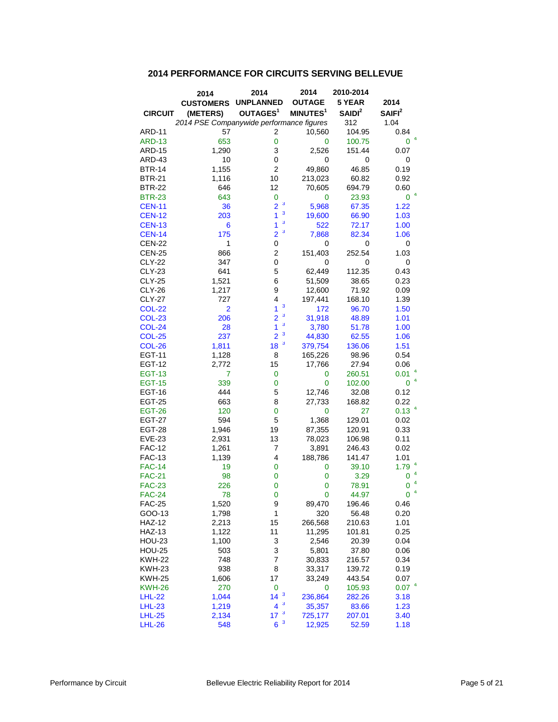## **2014 PERFORMANCE FOR CIRCUITS SERVING BELLEVUE**

|                | 2014                                     | 2014                       | 2014                 | 2010-2014    |                                 |
|----------------|------------------------------------------|----------------------------|----------------------|--------------|---------------------------------|
|                | <b>CUSTOMERS</b>                         | <b>UNPLANNED</b>           | <b>OUTAGE</b>        | 5 YEAR       | 2014                            |
| <b>CIRCUIT</b> | (METERS)                                 | OUTAGES <sup>1</sup>       | MINUTES <sup>1</sup> | $S$ AIDI $2$ | SAIFI <sup>2</sup>              |
|                | 2014 PSE Companywide performance figures |                            |                      | 312          | 1.04                            |
| ARD-11         | 57                                       | 2                          | 10,560               | 104.95       | 0.84<br>$\overline{\mathbf{4}}$ |
| <b>ARD-13</b>  | 653                                      | $\mathbf 0$                | 0                    | 100.75       | 0                               |
| <b>ARD-15</b>  | 1,290                                    | 3                          | 2,526                | 151.44       | 0.07                            |
| ARD-43         | 10                                       | 0                          | 0                    | 0            | 0                               |
| <b>BTR-14</b>  | 1,155                                    | $\overline{2}$             | 49,860               | 46.85        | 0.19                            |
| <b>BTR-21</b>  | 1,116                                    | 10                         | 213,023              | 60.82        | 0.92                            |
| <b>BTR-22</b>  | 646                                      | 12                         | 70,605               | 694.79       | 0.60                            |
| <b>BTR-23</b>  | 643                                      | 0<br>3                     | 0                    | 23.93        | 0                               |
| <b>CEN-11</b>  | 36                                       | $\overline{2}$<br>3        | 5,968                | 67.35        | 1.22                            |
| <b>CEN-12</b>  | 203                                      | 1<br>3                     | 19,600               | 66.90        | 1.03                            |
| <b>CEN-13</b>  | 6                                        | 1<br>3                     | 522                  | 72.17        | 1.00                            |
| <b>CEN-14</b>  | 175                                      | $\overline{2}$             | 7,868                | 82.34        | 1.06                            |
| <b>CEN-22</b>  | 1                                        | 0                          | 0                    | 0            | 0                               |
| <b>CEN-25</b>  | 866                                      | $\overline{\mathbf{c}}$    | 151,403              | 252.54       | 1.03                            |
| <b>CLY-22</b>  | 347                                      | 0                          | 0                    | 0            | 0                               |
| <b>CLY-23</b>  | 641                                      | 5                          | 62,449               | 112.35       | 0.43                            |
| <b>CLY-25</b>  | 1,521                                    | 6                          | 51,509               | 38.65        | 0.23                            |
| <b>CLY-26</b>  | 1,217                                    | 9                          | 12,600               | 71.92        | 0.09                            |
| <b>CLY-27</b>  | 727                                      | 4                          | 197,441              | 168.10       | 1.39                            |
| <b>COL-22</b>  | $\overline{2}$                           | 3<br>1                     | 172                  | 96.70        | 1.50                            |
| <b>COL-23</b>  | 206                                      | 3<br>$\overline{2}$        | 31,918               | 48.89        | 1.01                            |
| <b>COL-24</b>  | 28                                       | 3<br>1<br>3                | 3,780                | 51.78        | 1.00                            |
| <b>COL-25</b>  | 237                                      | $\overline{2}$             | 44,830               | 62.55        | 1.06                            |
| <b>COL-26</b>  | 1,811                                    | 3<br>18                    | 379,754              | 136.06       | 1.51                            |
| <b>EGT-11</b>  | 1,128                                    | 8                          | 165,226              | 98.96        | 0.54                            |
| <b>EGT-12</b>  | 2,772                                    | 15                         | 17,766               | 27.94        | 0.06                            |
| <b>EGT-13</b>  | 7                                        | 0                          | 0                    | 260.51       | 0.01                            |
| <b>EGT-15</b>  | 339                                      | 0                          | 0                    | 102.00       | 4<br>0                          |
| <b>EGT-16</b>  | 444                                      | 5                          | 12,746               | 32.08        | 0.12                            |
| <b>EGT-25</b>  | 663                                      | 8                          | 27,733               | 168.82       | 0.22                            |
| <b>EGT-26</b>  | 120                                      | 0                          | 0                    | 27           | 0.13 <sup>4</sup>               |
| <b>EGT-27</b>  | 594                                      | 5                          | 1,368                | 129.01       | 0.02                            |
| <b>EGT-28</b>  | 1,946                                    | 19                         | 87,355               | 120.91       | 0.33                            |
| <b>EVE-23</b>  | 2,931                                    | 13                         | 78,023               | 106.98       | 0.11                            |
| <b>FAC-12</b>  | 1,261                                    | 7                          | 3,891                | 246.43       | 0.02                            |
| <b>FAC-13</b>  | 1,139                                    | 4                          | 188,786              | 141.47       | 1.01                            |
| <b>FAC-14</b>  | 19                                       | 0                          | 0                    | 39.10        | 1.79<br>4                       |
| <b>FAC-21</b>  | 98                                       | 0                          | 0                    | 3.29         | 0<br>4                          |
| <b>FAC-23</b>  | 226                                      | 0                          | 0                    | 78.91        | 0<br>4                          |
| <b>FAC-24</b>  | 78                                       | 0                          | 0                    | 44.97        | 0                               |
| <b>FAC-25</b>  | 1,520                                    | 9                          | 89,470               | 196.46       | 0.46                            |
| GOO-13         | 1,798                                    | $\mathbf{1}$               | 320                  | 56.48        | 0.20                            |
| <b>HAZ-12</b>  | 2,213                                    | 15                         | 266,568              | 210.63       | 1.01                            |
| <b>HAZ-13</b>  | 1,122                                    | 11                         | 11,295               | 101.81       | 0.25                            |
| <b>HOU-23</b>  | 1,100                                    | 3                          | 2,546                | 20.39        | 0.04                            |
| <b>HOU-25</b>  | 503                                      | 3                          | 5,801                | 37.80        | 0.06                            |
| <b>KWH-22</b>  | 748                                      | 7                          | 30,833               | 216.57       | 0.34                            |
| KWH-23         | 938                                      | 8                          | 33,317               | 139.72       | 0.19                            |
| <b>KWH-25</b>  | 1,606                                    | 17                         | 33,249               | 443.54       | 0.07                            |
| <b>KWH-26</b>  | 270                                      | 0                          | 0                    | 105.93       | 0.07 <sup>4</sup>               |
| <b>LHL-22</b>  | 1,044                                    | $\boldsymbol{\beta}$<br>14 | 236,864              | 282.26       | 3.18                            |
| <b>LHL-23</b>  | 1,219                                    | $\mathbf{3}$<br>4          | 35,357               | 83.66        | 1.23                            |
| <b>LHL-25</b>  | 2,134                                    | $\mathbf{3}$<br>17         | 725,177              | 207.01       | 3.40                            |
| <b>LHL-26</b>  | 548                                      | $\mathbf{3}$<br>6          | 12,925               | 52.59        | 1.18                            |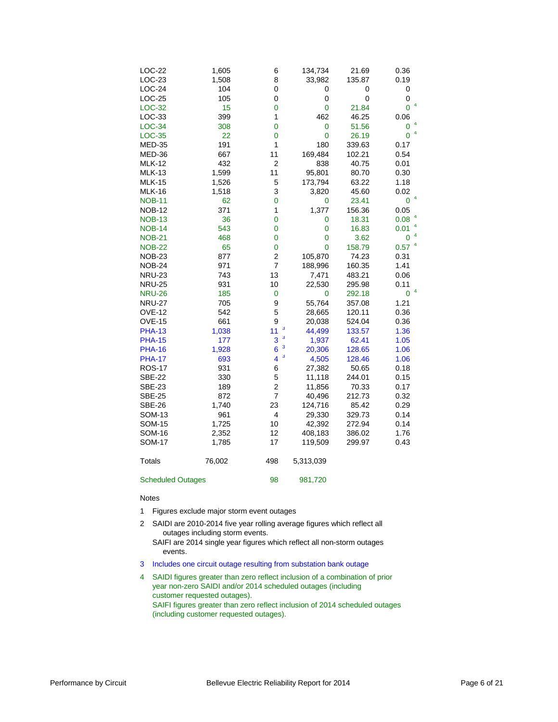| LOC-22                   | 1,605  | 6                       | 134,734     | 21.69  | 0.36                |
|--------------------------|--------|-------------------------|-------------|--------|---------------------|
| LOC-23                   | 1,508  | 8                       | 33,982      | 135.87 | 0.19                |
| $LOC-24$                 | 104    | 0                       | 0           | 0      | 0                   |
| $LOC-25$                 | 105    | 0                       | 0           | 0      | 0                   |
| LOC-32                   | 15     | 0                       | 0           | 21.84  | 0                   |
| LOC-33                   | 399    | 1                       | 462         | 46.25  | 0.06                |
| $LOC-34$                 | 308    | 0                       | 0           | 51.56  | $\mathbf 0$         |
| LOC-35                   | 22     | 0                       | $\mathbf 0$ | 26.19  | 4<br>$\overline{0}$ |
| <b>MED-35</b>            | 191    | 1                       | 180         | 339.63 | 0.17                |
| MED-36                   | 667    | 11                      | 169,484     | 102.21 | 0.54                |
| <b>MLK-12</b>            | 432    | $\overline{2}$          | 838         | 40.75  | 0.01                |
| <b>MLK-13</b>            | 1,599  | 11                      | 95,801      | 80.70  | 0.30                |
| <b>MLK-15</b>            | 1,526  | 5                       | 173,794     | 63.22  | 1.18                |
| <b>MLK-16</b>            | 1,518  | 3                       | 3,820       | 45.60  | 0.02                |
| <b>NOB-11</b>            | 62     | 0                       | 0           | 23.41  | 4<br>$\mathbf 0$    |
| <b>NOB-12</b>            | 371    | $\mathbf{1}$            | 1,377       | 156.36 | 0.05                |
| <b>NOB-13</b>            | 36     | 0                       | 0           | 18.31  | 0.08                |
| <b>NOB-14</b>            | 543    | 0                       | 0           | 16.83  | 4<br>0.01           |
| <b>NOB-21</b>            | 468    | 0                       | $\mathbf 0$ | 3.62   | 4<br>0              |
| <b>NOB-22</b>            | 65     | 0                       | 0           | 158.79 | 4<br>0.57           |
| <b>NOB-23</b>            | 877    | $\overline{c}$          | 105,870     | 74.23  | 0.31                |
| NOB-24                   | 971    | $\overline{\mathbf{7}}$ | 188,996     | 160.35 | 1.41                |
| <b>NRU-23</b>            | 743    | 13                      | 7,471       | 483.21 | 0.06                |
| <b>NRU-25</b>            | 931    | 10                      | 22,530      | 295.98 | 0.11                |
| <b>NRU-26</b>            | 185    | $\pmb{0}$               | 0           | 292.18 | 4<br>0              |
| <b>NRU-27</b>            | 705    | 9                       | 55,764      | 357.08 | 1.21                |
| <b>OVE-12</b>            | 542    | 5                       | 28,665      | 120.11 | 0.36                |
| <b>OVE-15</b>            | 661    | 9                       | 20,038      | 524.04 | 0.36                |
| <b>PHA-13</b>            | 1,038  | 3<br>11                 | 44,499      | 133.57 | 1.36                |
| <b>PHA-15</b>            | 177    | 3<br>3                  | 1,937       | 62.41  | 1.05                |
| <b>PHA-16</b>            | 1,928  | 3<br>6                  | 20,306      | 128.65 | 1.06                |
| <b>PHA-17</b>            | 693    | 3<br>4                  | 4,505       | 128.46 | 1.06                |
| <b>ROS-17</b>            | 931    | 6                       | 27,382      | 50.65  | 0.18                |
| <b>SBE-22</b>            | 330    | 5                       | 11,118      | 244.01 | 0.15                |
| <b>SBE-23</b>            | 189    | 2                       | 11,856      | 70.33  | 0.17                |
| <b>SBE-25</b>            | 872    | $\overline{7}$          | 40,496      | 212.73 | 0.32                |
| <b>SBE-26</b>            | 1,740  | 23                      | 124,716     | 85.42  | 0.29                |
| SOM-13                   | 961    | 4                       | 29,330      | 329.73 | 0.14                |
| <b>SOM-15</b>            | 1,725  | 10                      | 42,392      | 272.94 | 0.14                |
| SOM-16                   | 2,352  | 12                      | 408,183     | 386.02 | 1.76                |
| <b>SOM-17</b>            | 1,785  | 17                      | 119,509     | 299.97 | 0.43                |
| Totals                   | 76,002 | 498                     | 5,313,039   |        |                     |
| <b>Scheduled Outages</b> |        | 98                      | 981,720     |        |                     |

#### Notes

- 1 Figures exclude major storm event outages
- 2 SAIDI are 2010-2014 five year rolling average figures which reflect all outages including storm events.
	- SAIFI are 2014 single year figures which reflect all non-storm outages events.
- 3 Includes one circuit outage resulting from substation bank outage
- 4 SAIDI figures greater than zero reflect inclusion of a combination of prior year non-zero SAIDI and/or 2014 scheduled outages (including customer requested outages). SAIFI figures greater than zero reflect inclusion of 2014 scheduled outages (including customer requested outages).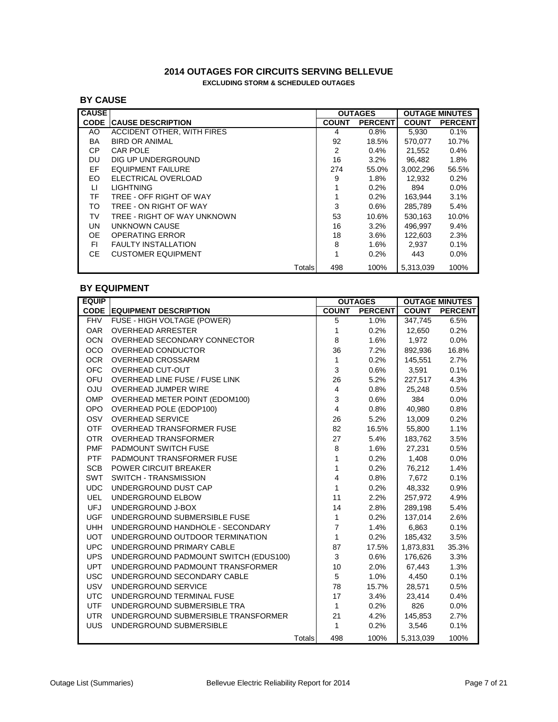### **2014 OUTAGES FOR CIRCUITS SERVING BELLEVUE EXCLUDING STORM & SCHEDULED OUTAGES**

## **BY CAUSE**

| <b>CAUSE</b> |                             |              | <b>OUTAGES</b> |              | <b>OUTAGE MINUTES</b> |
|--------------|-----------------------------|--------------|----------------|--------------|-----------------------|
| <b>CODE</b>  | <b>ICAUSE DESCRIPTION</b>   | <b>COUNT</b> | <b>PERCENT</b> | <b>COUNT</b> | <b>PERCENT</b>        |
| AO           | ACCIDENT OTHER, WITH FIRES  | 4            | $0.8\%$        | 5.930        | 0.1%                  |
| BA           | <b>BIRD OR ANIMAL</b>       | 92           | 18.5%          | 570.077      | 10.7%                 |
| CP           | CAR POLE                    | 2            | 0.4%           | 21.552       | 0.4%                  |
| DU           | DIG UP UNDERGROUND          | 16           | 3.2%           | 96.482       | 1.8%                  |
| EF           | <b>EQUIPMENT FAILURE</b>    | 274          | 55.0%          | 3,002,296    | 56.5%                 |
| EO.          | ELECTRICAL OVERLOAD         | 9            | $1.8\%$        | 12,932       | 0.2%                  |
| LI.          | <b>LIGHTNING</b>            | 1            | 0.2%           | 894          | $0.0\%$               |
| TF           | TREE - OFF RIGHT OF WAY     | 1            | 0.2%           | 163,944      | 3.1%                  |
| TO           | TREE - ON RIGHT OF WAY      | 3            | $0.6\%$        | 285,789      | 5.4%                  |
| TV           | TREE - RIGHT OF WAY UNKNOWN | 53           | 10.6%          | 530.163      | 10.0%                 |
| UN           | UNKNOWN CAUSE               | 16           | 3.2%           | 496.997      | 9.4%                  |
| <b>OE</b>    | OPERATING ERROR             | 18           | 3.6%           | 122.603      | 2.3%                  |
| FI.          | <b>FAULTY INSTALLATION</b>  | 8            | 1.6%           | 2,937        | 0.1%                  |
| CE.          | <b>CUSTOMER EQUIPMENT</b>   | 1            | 0.2%           | 443          | $0.0\%$               |
|              | Totals                      | 498          | 100%           | 5.313.039    | 100%                  |

## **BY EQUIPMENT**

| <b>EQUIP</b> |                                       |               |                | <b>OUTAGES</b> |           | <b>OUTAGE MINUTES</b> |
|--------------|---------------------------------------|---------------|----------------|----------------|-----------|-----------------------|
|              | <b>CODE EQUIPMENT DESCRIPTION</b>     |               | <b>COUNT</b>   | <b>PERCENT</b> |           | <b>COUNT PERCENT</b>  |
| <b>FHV</b>   | FUSE - HIGH VOLTAGE (POWER)           |               | 5              | 1.0%           | 347,745   | 6.5%                  |
| <b>OAR</b>   | <b>OVERHEAD ARRESTER</b>              |               | $\mathbf{1}$   | 0.2%           | 12,650    | 0.2%                  |
| <b>OCN</b>   | OVERHEAD SECONDARY CONNECTOR          |               | 8              | 1.6%           | 1,972     | 0.0%                  |
| <b>OCO</b>   | <b>OVERHEAD CONDUCTOR</b>             |               | 36             | 7.2%           | 892,936   | 16.8%                 |
| <b>OCR</b>   | <b>OVERHEAD CROSSARM</b>              |               | $\mathbf{1}$   | 0.2%           | 145,551   | 2.7%                  |
| <b>OFC</b>   | <b>OVERHEAD CUT-OUT</b>               |               | 3              | 0.6%           | 3,591     | 0.1%                  |
| <b>OFU</b>   | <b>OVERHEAD LINE FUSE / FUSE LINK</b> |               | 26             | 5.2%           | 227,517   | 4.3%                  |
| <b>OJU</b>   | OVERHEAD JUMPER WIRE                  |               | $\overline{4}$ | 0.8%           | 25,248    | 0.5%                  |
| <b>OMP</b>   | <b>OVERHEAD METER POINT (EDOM100)</b> |               | 3              | 0.6%           | 384       | 0.0%                  |
| <b>OPO</b>   | OVERHEAD POLE (EDOP100)               |               | $\overline{4}$ | 0.8%           | 40,980    | 0.8%                  |
| OSV          | <b>OVERHEAD SERVICE</b>               |               | 26             | 5.2%           | 13,009    | 0.2%                  |
| <b>OTF</b>   | <b>OVERHEAD TRANSFORMER FUSE</b>      |               | 82             | 16.5%          | 55,800    | 1.1%                  |
| <b>OTR</b>   | <b>OVERHEAD TRANSFORMER</b>           |               | 27             | 5.4%           | 183,762   | 3.5%                  |
| <b>PMF</b>   | PADMOUNT SWITCH FUSE                  |               | 8              | 1.6%           | 27,231    | 0.5%                  |
| <b>PTF</b>   | PADMOUNT TRANSFORMER FUSE             |               | $\mathbf{1}$   | 0.2%           | 1,408     | 0.0%                  |
| <b>SCB</b>   | <b>POWER CIRCUIT BREAKER</b>          |               | $\mathbf{1}$   | 0.2%           | 76,212    | 1.4%                  |
| <b>SWT</b>   | <b>SWITCH - TRANSMISSION</b>          |               | 4              | 0.8%           | 7,672     | 0.1%                  |
| <b>UDC</b>   | UNDERGROUND DUST CAP                  |               | $\mathbf{1}$   | 0.2%           | 48,332    | 0.9%                  |
| <b>UEL</b>   | UNDERGROUND ELBOW                     |               | 11             | 2.2%           | 257,972   | 4.9%                  |
| <b>UFJ</b>   | UNDERGROUND J-BOX                     |               | 14             | 2.8%           | 289,198   | 5.4%                  |
| <b>UGF</b>   | UNDERGROUND SUBMERSIBLE FUSE          |               | $\mathbf{1}$   | 0.2%           | 137,014   | 2.6%                  |
| <b>UHH</b>   | UNDERGROUND HANDHOLE - SECONDARY      |               | $\overline{7}$ | 1.4%           | 6,863     | 0.1%                  |
| <b>UOT</b>   | UNDERGROUND OUTDOOR TERMINATION       |               | $\mathbf{1}$   | 0.2%           | 185,432   | 3.5%                  |
| <b>UPC</b>   | UNDERGROUND PRIMARY CABLE             |               | 87             | 17.5%          | 1,873,831 | 35.3%                 |
| <b>UPS</b>   | UNDERGROUND PADMOUNT SWITCH (EDUS100) |               | 3              | 0.6%           | 176,626   | 3.3%                  |
| <b>UPT</b>   | UNDERGROUND PADMOUNT TRANSFORMER      |               | 10             | 2.0%           | 67,443    | 1.3%                  |
| <b>USC</b>   | UNDERGROUND SECONDARY CABLE           |               | 5              | 1.0%           | 4,450     | 0.1%                  |
| <b>USV</b>   | UNDERGROUND SERVICE                   |               | 78             | 15.7%          | 28,571    | 0.5%                  |
| <b>UTC</b>   | UNDERGROUND TERMINAL FUSE             |               | 17             | 3.4%           | 23,414    | 0.4%                  |
| <b>UTF</b>   | UNDERGROUND SUBMERSIBLE TRA           |               | $\mathbf{1}$   | 0.2%           | 826       | 0.0%                  |
| <b>UTR</b>   | UNDERGROUND SUBMERSIBLE TRANSFORMER   |               | 21             | 4.2%           | 145,853   | 2.7%                  |
| <b>UUS</b>   | UNDERGROUND SUBMERSIBLE               |               | $\mathbf{1}$   | 0.2%           | 3,546     | 0.1%                  |
|              |                                       | <b>Totals</b> | 498            | 100%           | 5.313.039 | 100%                  |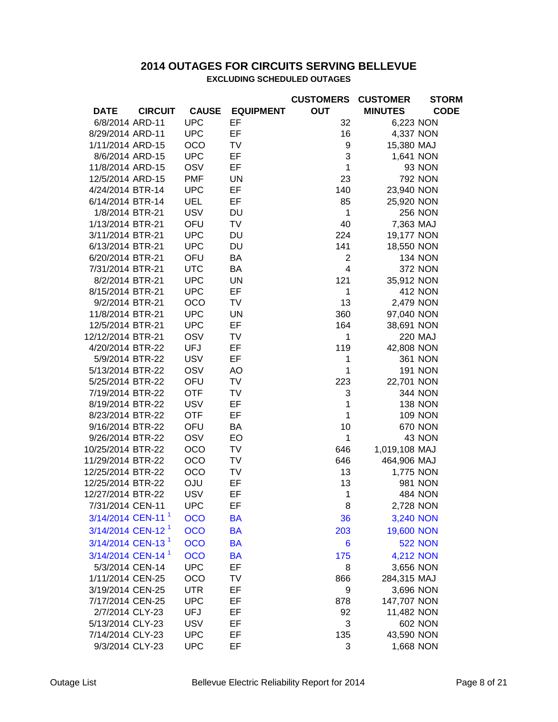## **2014 OUTAGES FOR CIRCUITS SERVING BELLEVUE EXCLUDING SCHEDULED OUTAGES**

|                               |                |              |                  | <b>CUSTOMERS</b> | <b>CUSTOMER</b> | <b>STORM</b>   |
|-------------------------------|----------------|--------------|------------------|------------------|-----------------|----------------|
| <b>DATE</b>                   | <b>CIRCUIT</b> | <b>CAUSE</b> | <b>EQUIPMENT</b> | <b>OUT</b>       | <b>MINUTES</b>  | <b>CODE</b>    |
| 6/8/2014 ARD-11               |                | <b>UPC</b>   | EF               | 32               | 6,223 NON       |                |
| 8/29/2014 ARD-11              |                | <b>UPC</b>   | EF               | 16               | 4,337 NON       |                |
| 1/11/2014 ARD-15              |                | <b>OCO</b>   | <b>TV</b>        | 9                | 15,380 MAJ      |                |
| 8/6/2014 ARD-15               |                | <b>UPC</b>   | EF               | 3                | 1,641 NON       |                |
| 11/8/2014 ARD-15              |                | OSV          | EF               | 1                |                 | 93 NON         |
| 12/5/2014 ARD-15              |                | <b>PMF</b>   | <b>UN</b>        | 23               |                 | <b>792 NON</b> |
| 4/24/2014 BTR-14              |                | <b>UPC</b>   | EF               | 140              | 23,940 NON      |                |
| 6/14/2014 BTR-14              |                | <b>UEL</b>   | EF               | 85               | 25,920 NON      |                |
| 1/8/2014 BTR-21               |                | <b>USV</b>   | <b>DU</b>        | 1                |                 | <b>256 NON</b> |
| 1/13/2014 BTR-21              |                | OFU          | <b>TV</b>        | 40               | 7,363 MAJ       |                |
| 3/11/2014 BTR-21              |                | <b>UPC</b>   | <b>DU</b>        | 224              | 19,177 NON      |                |
| 6/13/2014 BTR-21              |                | <b>UPC</b>   | <b>DU</b>        | 141              | 18,550 NON      |                |
| 6/20/2014 BTR-21              |                | OFU          | BA               | $\overline{2}$   |                 | <b>134 NON</b> |
| 7/31/2014 BTR-21              |                | <b>UTC</b>   | <b>BA</b>        | $\overline{4}$   |                 | <b>372 NON</b> |
| 8/2/2014 BTR-21               |                | <b>UPC</b>   | <b>UN</b>        | 121              | 35,912 NON      |                |
| 8/15/2014 BTR-21              |                | <b>UPC</b>   | EF               | 1                |                 | <b>412 NON</b> |
| 9/2/2014 BTR-21               |                | OCO          | <b>TV</b>        | 13               | 2,479 NON       |                |
| 11/8/2014 BTR-21              |                | <b>UPC</b>   | <b>UN</b>        | 360              | 97,040 NON      |                |
| 12/5/2014 BTR-21              |                | <b>UPC</b>   | EF               | 164              | 38,691 NON      |                |
| 12/12/2014 BTR-21             |                | OSV          | <b>TV</b>        | 1                |                 | <b>220 MAJ</b> |
| 4/20/2014 BTR-22              |                | <b>UFJ</b>   | EF               | 119              | 42,808 NON      |                |
| 5/9/2014 BTR-22               |                | <b>USV</b>   | EF               | 1                |                 | <b>361 NON</b> |
| 5/13/2014 BTR-22              |                | OSV          | AO               | 1                |                 | <b>191 NON</b> |
| 5/25/2014 BTR-22              |                | OFU          | <b>TV</b>        | 223              | 22,701 NON      |                |
| 7/19/2014 BTR-22              |                | <b>OTF</b>   | <b>TV</b>        | 3                |                 | <b>344 NON</b> |
| 8/19/2014 BTR-22              |                | <b>USV</b>   | EF               | 1                |                 | <b>138 NON</b> |
| 8/23/2014 BTR-22              |                | <b>OTF</b>   | EF               | $\mathbf{1}$     |                 | <b>109 NON</b> |
| 9/16/2014 BTR-22              |                | OFU          | <b>BA</b>        | 10               |                 | <b>670 NON</b> |
| 9/26/2014 BTR-22              |                | OSV          | EO               | $\mathbf{1}$     |                 | 43 NON         |
| 10/25/2014 BTR-22             |                | OCO          | TV               | 646              | 1,019,108 MAJ   |                |
| 11/29/2014 BTR-22             |                | OCO          | TV               | 646              | 464,906 MAJ     |                |
| 12/25/2014 BTR-22             |                | OCO          | <b>TV</b>        | 13               | 1,775 NON       |                |
| 12/25/2014 BTR-22             |                | <b>OJU</b>   | EF               | 13               |                 | 981 NON        |
| 12/27/2014 BTR-22             |                | <b>USV</b>   | EF               | $\mathbf 1$      |                 | <b>484 NON</b> |
| 7/31/2014 CEN-11              |                | <b>UPC</b>   | EF               | 8                | 2,728 NON       |                |
| 3/14/2014 CEN-11 <sup>1</sup> |                | <b>OCO</b>   | <b>BA</b>        | 36               | 3,240 NON       |                |
| 3/14/2014 CEN-12 <sup>1</sup> |                | <b>OCO</b>   | <b>BA</b>        | 203              | 19,600 NON      |                |
| 3/14/2014 CEN-13 <sup>1</sup> |                | <b>OCO</b>   | <b>BA</b>        | 6                |                 | <b>522 NON</b> |
| 3/14/2014 CEN-14 <sup>1</sup> |                | <b>OCO</b>   | <b>BA</b>        | 175              | 4,212 NON       |                |
| 5/3/2014 CEN-14               |                | <b>UPC</b>   | EF               | 8                | 3,656 NON       |                |
| 1/11/2014 CEN-25              |                | OCO          | TV               | 866              | 284,315 MAJ     |                |
| 3/19/2014 CEN-25              |                | <b>UTR</b>   | EF               | 9                | 3,696 NON       |                |
| 7/17/2014 CEN-25              |                | <b>UPC</b>   | EF               | 878              | 147,707 NON     |                |
| 2/7/2014 CLY-23               |                | <b>UFJ</b>   | EF               | 92               | 11,482 NON      |                |
| 5/13/2014 CLY-23              |                | <b>USV</b>   | EF               | 3                |                 | <b>602 NON</b> |
| 7/14/2014 CLY-23              |                | <b>UPC</b>   | EF               | 135              | 43,590 NON      |                |
| 9/3/2014 CLY-23               |                | <b>UPC</b>   | EF               | 3                | 1,668 NON       |                |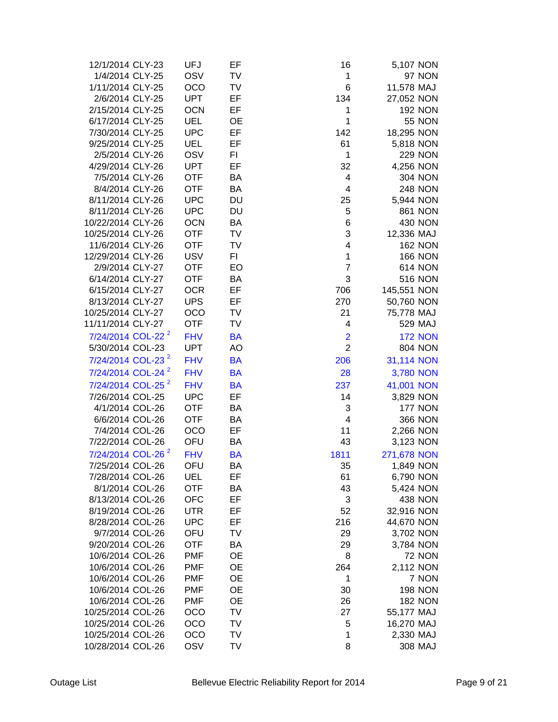| 12/1/2014 CLY-23              | UFJ        | EF             |                |             |                |
|-------------------------------|------------|----------------|----------------|-------------|----------------|
|                               |            |                | 16             | 5,107 NON   |                |
| 1/4/2014 CLY-25               | OSV        | TV             | 1              |             | 97 NON         |
| 1/11/2014 CLY-25              | <b>OCO</b> | TV             | 6              | 11,578 MAJ  |                |
| 2/6/2014 CLY-25               | <b>UPT</b> | EF             | 134            | 27,052 NON  |                |
| 2/15/2014 CLY-25              | <b>OCN</b> | EF             | 1              |             | <b>192 NON</b> |
| 6/17/2014 CLY-25              | <b>UEL</b> | <b>OE</b>      | 1              |             | <b>55 NON</b>  |
| 7/30/2014 CLY-25              | <b>UPC</b> | EF             | 142            | 18,295 NON  |                |
| 9/25/2014 CLY-25              | <b>UEL</b> | EF             | 61             | 5,818 NON   |                |
| 2/5/2014 CLY-26               | OSV        | F <sub>1</sub> | 1              |             | <b>229 NON</b> |
| 4/29/2014 CLY-26              | <b>UPT</b> | EF             | 32             | 4,256 NON   |                |
| 7/5/2014 CLY-26               | <b>OTF</b> | BA             | $\overline{4}$ |             | <b>304 NON</b> |
| 8/4/2014 CLY-26               | <b>OTF</b> | <b>BA</b>      | 4              |             | <b>248 NON</b> |
| 8/11/2014 CLY-26              | <b>UPC</b> | <b>DU</b>      | 25             | 5,944 NON   |                |
| 8/11/2014 CLY-26              | <b>UPC</b> | <b>DU</b>      | 5              |             | <b>861 NON</b> |
| 10/22/2014 CLY-26             | <b>OCN</b> | BA             | 6              |             | 430 NON        |
| 10/25/2014 CLY-26             | <b>OTF</b> | TV             | 3              | 12,336 MAJ  |                |
| 11/6/2014 CLY-26              | <b>OTF</b> | <b>TV</b>      | 4              |             | <b>162 NON</b> |
| 12/29/2014 CLY-26             | <b>USV</b> | F1             | 1              |             | <b>166 NON</b> |
| 2/9/2014 CLY-27               | <b>OTF</b> | EO             | $\overline{7}$ |             | <b>614 NON</b> |
| 6/14/2014 CLY-27              | <b>OTF</b> | <b>BA</b>      | 3              |             | <b>516 NON</b> |
| 6/15/2014 CLY-27              | <b>OCR</b> | EF             | 706            | 145,551 NON |                |
| 8/13/2014 CLY-27              | <b>UPS</b> | EF             | 270            | 50,760 NON  |                |
| 10/25/2014 CLY-27             | <b>OCO</b> | TV             | 21             | 75,778 MAJ  |                |
| 11/11/2014 CLY-27             | <b>OTF</b> | TV             | 4              |             | 529 MAJ        |
| 7/24/2014 COL-22 <sup>2</sup> | <b>FHV</b> | <b>BA</b>      | $\overline{2}$ |             | <b>172 NON</b> |
|                               |            | AO             | $\overline{2}$ |             |                |
| 5/30/2014 COL-23              | <b>UPT</b> |                |                |             | <b>804 NON</b> |
| 7/24/2014 COL-23 <sup>2</sup> | <b>FHV</b> | <b>BA</b>      | 206            | 31,114 NON  |                |
| 7/24/2014 COL-24 <sup>2</sup> | <b>FHV</b> | <b>BA</b>      | 28             | 3,780 NON   |                |
| 7/24/2014 COL-25 <sup>2</sup> | <b>FHV</b> | <b>BA</b>      | 237            | 41,001 NON  |                |
| 7/26/2014 COL-25              | <b>UPC</b> | EF             | 14             | 3,829 NON   |                |
| 4/1/2014 COL-26               | <b>OTF</b> | BA             | 3              |             | <b>177 NON</b> |
| 6/6/2014 COL-26               | <b>OTF</b> | BA             | 4              |             | <b>366 NON</b> |
| 7/4/2014 COL-26               | OCO        | EF             | 11             | 2,266 NON   |                |
| 7/22/2014 COL-26              | OFU        | <b>BA</b>      | 43             | 3,123 NON   |                |
| 7/24/2014 COL-26 <sup>2</sup> | <b>FHV</b> | <b>BA</b>      | 1811           | 271,678 NON |                |
| 7/25/2014 COL-26              | OFU        | BA             | 35             | 1,849 NON   |                |
| 7/28/2014 COL-26              | UEL        | EF             | 61             | 6,790 NON   |                |
| 8/1/2014 COL-26               | <b>OTF</b> | BA             | 43             | 5,424 NON   |                |
| 8/13/2014 COL-26              | <b>OFC</b> | EF             | 3              |             | 438 NON        |
| 8/19/2014 COL-26              | <b>UTR</b> | EF             | 52             | 32,916 NON  |                |
| 8/28/2014 COL-26              | <b>UPC</b> | EF             | 216            | 44,670 NON  |                |
| 9/7/2014 COL-26               | OFU        | TV             | 29             | 3,702 NON   |                |
| 9/20/2014 COL-26              | <b>OTF</b> | BA             | 29             | 3,784 NON   |                |
| 10/6/2014 COL-26              | <b>PMF</b> | OE             | 8              |             | <b>72 NON</b>  |
| 10/6/2014 COL-26              | <b>PMF</b> | OE             | 264            | 2,112 NON   |                |
| 10/6/2014 COL-26              | <b>PMF</b> | <b>OE</b>      | 1              |             | 7 NON          |
| 10/6/2014 COL-26              | <b>PMF</b> | OE             | 30             |             | <b>198 NON</b> |
| 10/6/2014 COL-26              | <b>PMF</b> | <b>OE</b>      |                |             |                |
| 10/25/2014 COL-26             | OCO        | TV             | 26<br>27       | 55,177 MAJ  | <b>182 NON</b> |
| 10/25/2014 COL-26             | OCO        | TV             | 5              |             |                |
|                               | OCO        | TV             | 1              | 16,270 MAJ  |                |
| 10/25/2014 COL-26             |            |                | 8              | 2,330 MAJ   |                |
| 10/28/2014 COL-26             | OSV        | TV             |                |             | 308 MAJ        |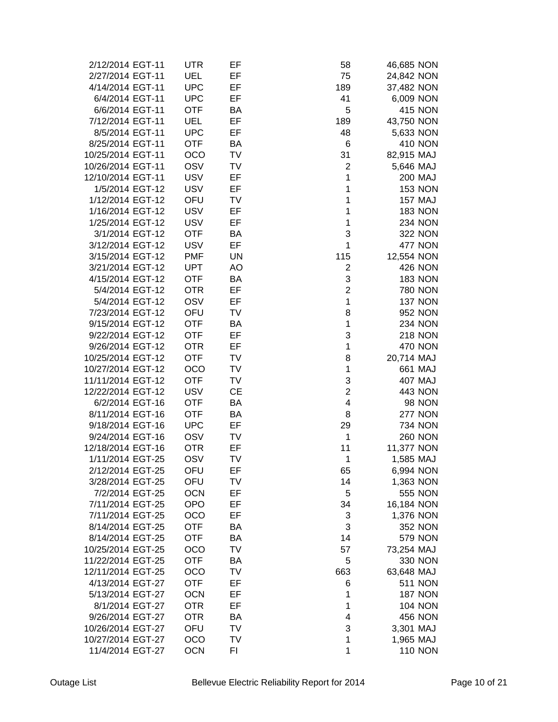| 2/12/2014 EGT-11                       | <b>UTR</b> | EF        | 58                      | 46,685 NON     |
|----------------------------------------|------------|-----------|-------------------------|----------------|
| 2/27/2014 EGT-11                       | <b>UEL</b> | EF        | 75                      | 24,842 NON     |
| 4/14/2014 EGT-11                       | <b>UPC</b> | EF        | 189                     | 37,482 NON     |
| 6/4/2014 EGT-11                        | <b>UPC</b> | EF        | 41                      | 6,009 NON      |
| 6/6/2014 EGT-11                        | <b>OTF</b> | BA        | 5                       | <b>415 NON</b> |
| 7/12/2014 EGT-11                       | <b>UEL</b> | EF        | 189                     | 43,750 NON     |
| 8/5/2014 EGT-11                        | <b>UPC</b> | EF        | 48                      | 5,633 NON      |
| 8/25/2014 EGT-11                       | <b>OTF</b> | BA        | 6                       | <b>410 NON</b> |
| 10/25/2014 EGT-11                      | <b>OCO</b> | TV        | 31                      |                |
|                                        | OSV        | TV        |                         | 82,915 MAJ     |
| 10/26/2014 EGT-11<br>12/10/2014 EGT-11 | <b>USV</b> |           | 2                       | 5,646 MAJ      |
|                                        |            | EF        | 1                       | <b>200 MAJ</b> |
| 1/5/2014 EGT-12                        | <b>USV</b> | EF        | 1                       | <b>153 NON</b> |
| 1/12/2014 EGT-12                       | OFU        | TV        | $\mathbf 1$             | <b>157 MAJ</b> |
| 1/16/2014 EGT-12                       | <b>USV</b> | EF        | $\mathbf 1$             | <b>183 NON</b> |
| 1/25/2014 EGT-12                       | <b>USV</b> | EF        | $\mathbf{1}$            | <b>234 NON</b> |
| 3/1/2014 EGT-12                        | <b>OTF</b> | BA        | 3                       | 322 NON        |
| 3/12/2014 EGT-12                       | <b>USV</b> | EF        | 1                       | <b>477 NON</b> |
| 3/15/2014 EGT-12                       | <b>PMF</b> | <b>UN</b> | 115                     | 12,554 NON     |
| 3/21/2014 EGT-12                       | <b>UPT</b> | AO        | 2                       | <b>426 NON</b> |
| 4/15/2014 EGT-12                       | <b>OTF</b> | BA        | 3                       | <b>183 NON</b> |
| 5/4/2014 EGT-12                        | <b>OTR</b> | EF        | $\overline{2}$          | <b>780 NON</b> |
| 5/4/2014 EGT-12                        | <b>OSV</b> | EF        | 1                       | <b>137 NON</b> |
| 7/23/2014 EGT-12                       | OFU        | TV        | 8                       | 952 NON        |
| 9/15/2014 EGT-12                       | <b>OTF</b> | BA        | 1                       | <b>234 NON</b> |
| 9/22/2014 EGT-12                       | <b>OTF</b> | EF        | 3                       | <b>218 NON</b> |
| 9/26/2014 EGT-12                       | <b>OTR</b> | EF        | 1                       | <b>470 NON</b> |
| 10/25/2014 EGT-12                      | <b>OTF</b> | <b>TV</b> | 8                       | 20,714 MAJ     |
| 10/27/2014 EGT-12                      | <b>OCO</b> | TV        | $\mathbf{1}$            | 661 MAJ        |
| 11/11/2014 EGT-12                      | <b>OTF</b> | TV        | 3                       | 407 MAJ        |
| 12/22/2014 EGT-12                      | <b>USV</b> | <b>CE</b> | $\overline{c}$          | 443 NON        |
| 6/2/2014 EGT-16                        | <b>OTF</b> | BA        | $\overline{\mathbf{4}}$ | <b>98 NON</b>  |
| 8/11/2014 EGT-16                       | <b>OTF</b> | BA        | 8                       | <b>277 NON</b> |
| 9/18/2014 EGT-16                       | <b>UPC</b> | EF        | 29                      | <b>734 NON</b> |
| 9/24/2014 EGT-16                       | OSV        | TV        | 1                       | <b>260 NON</b> |
| 12/18/2014 EGT-16                      | <b>OTR</b> | EF        | 11                      | 11,377 NON     |
| 1/11/2014 EGT-25                       | OSV        | TV        | 1                       | 1,585 MAJ      |
| 2/12/2014 EGT-25                       | OFU        | EF        | 65                      | 6,994 NON      |
| 3/28/2014 EGT-25                       | OFU        | TV        | 14                      | 1,363 NON      |
| 7/2/2014 EGT-25                        | <b>OCN</b> | EF        | 5                       | <b>555 NON</b> |
| 7/11/2014 EGT-25                       | <b>OPO</b> | EF        | 34                      | 16,184 NON     |
| 7/11/2014 EGT-25                       | OCO        | EF        | 3                       | 1,376 NON      |
| 8/14/2014 EGT-25                       | <b>OTF</b> | BA        | 3                       | <b>352 NON</b> |
| 8/14/2014 EGT-25                       | <b>OTF</b> | BA        | 14                      | <b>579 NON</b> |
| 10/25/2014 EGT-25                      | OCO        | TV        | 57                      | 73,254 MAJ     |
| 11/22/2014 EGT-25                      | <b>OTF</b> | BA        | 5                       | 330 NON        |
| 12/11/2014 EGT-25                      | <b>OCO</b> | TV        | 663                     | 63,648 MAJ     |
| 4/13/2014 EGT-27                       | <b>OTF</b> | EF        | 6                       | <b>511 NON</b> |
| 5/13/2014 EGT-27                       | <b>OCN</b> | EF        | 1                       | <b>187 NON</b> |
| 8/1/2014 EGT-27                        | <b>OTR</b> | EF        | 1                       | <b>104 NON</b> |
| 9/26/2014 EGT-27                       | <b>OTR</b> | BA        | 4                       | <b>456 NON</b> |
| 10/26/2014 EGT-27                      | OFU        | TV        | 3                       | 3,301 MAJ      |
| 10/27/2014 EGT-27                      | <b>OCO</b> | TV        | 1                       | 1,965 MAJ      |
| 11/4/2014 EGT-27                       | <b>OCN</b> | FI        | 1                       | <b>110 NON</b> |
|                                        |            |           |                         |                |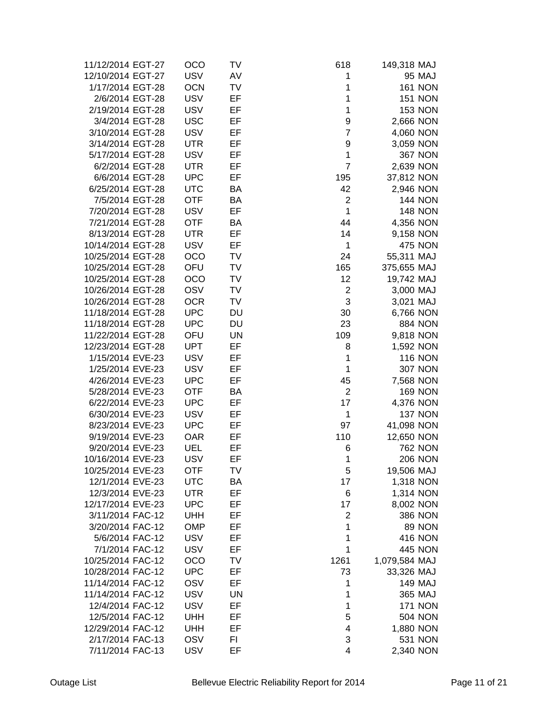| 11/12/2014 EGT-27 | OCO        | TV        | 618            | 149,318 MAJ    |  |
|-------------------|------------|-----------|----------------|----------------|--|
| 12/10/2014 EGT-27 | <b>USV</b> | AV        | 1              | 95 MAJ         |  |
| 1/17/2014 EGT-28  | <b>OCN</b> | TV        | 1              | <b>161 NON</b> |  |
| 2/6/2014 EGT-28   | <b>USV</b> | EF        | 1              | <b>151 NON</b> |  |
|                   | <b>USV</b> | EF        |                |                |  |
| 2/19/2014 EGT-28  |            |           | 1              | <b>153 NON</b> |  |
| 3/4/2014 EGT-28   | <b>USC</b> | EF        | 9              | 2,666 NON      |  |
| 3/10/2014 EGT-28  | <b>USV</b> | EF        | $\overline{7}$ | 4,060 NON      |  |
| 3/14/2014 EGT-28  | <b>UTR</b> | EF        | 9              | 3,059 NON      |  |
| 5/17/2014 EGT-28  | <b>USV</b> | EF        | 1              | <b>367 NON</b> |  |
| 6/2/2014 EGT-28   | <b>UTR</b> | EF        | $\overline{7}$ | 2,639 NON      |  |
| 6/6/2014 EGT-28   | <b>UPC</b> | EF        | 195            | 37,812 NON     |  |
| 6/25/2014 EGT-28  | <b>UTC</b> | BA        | 42             | 2,946 NON      |  |
| 7/5/2014 EGT-28   | <b>OTF</b> | BA        | $\overline{2}$ | <b>144 NON</b> |  |
| 7/20/2014 EGT-28  | <b>USV</b> | EF        | $\mathbf{1}$   | <b>148 NON</b> |  |
| 7/21/2014 EGT-28  | <b>OTF</b> | BA        | 44             | 4,356 NON      |  |
| 8/13/2014 EGT-28  | <b>UTR</b> | EF        | 14             | 9,158 NON      |  |
| 10/14/2014 EGT-28 | <b>USV</b> | EF        | 1              | <b>475 NON</b> |  |
| 10/25/2014 EGT-28 | OCO        | TV        | 24             | 55,311 MAJ     |  |
| 10/25/2014 EGT-28 | OFU        | TV        | 165            | 375,655 MAJ    |  |
| 10/25/2014 EGT-28 | OCO        | TV        | 12             | 19,742 MAJ     |  |
| 10/26/2014 EGT-28 | OSV        | TV        | $\overline{c}$ | 3,000 MAJ      |  |
| 10/26/2014 EGT-28 | <b>OCR</b> | TV        | 3              | 3,021 MAJ      |  |
| 11/18/2014 EGT-28 | <b>UPC</b> | <b>DU</b> | 30             | 6,766 NON      |  |
| 11/18/2014 EGT-28 | <b>UPC</b> | DU        | 23             | <b>884 NON</b> |  |
| 11/22/2014 EGT-28 | OFU        | <b>UN</b> | 109            |                |  |
|                   | <b>UPT</b> | EF        |                | 9,818 NON      |  |
| 12/23/2014 EGT-28 |            |           | 8              | 1,592 NON      |  |
| 1/15/2014 EVE-23  | <b>USV</b> | EF        | 1              | <b>116 NON</b> |  |
| 1/25/2014 EVE-23  | <b>USV</b> | EF        | $\mathbf 1$    | <b>307 NON</b> |  |
| 4/26/2014 EVE-23  | <b>UPC</b> | EF        | 45             | 7,568 NON      |  |
| 5/28/2014 EVE-23  | <b>OTF</b> | BA        | $\overline{2}$ | <b>169 NON</b> |  |
| 6/22/2014 EVE-23  | <b>UPC</b> | EF        | 17             | 4,376 NON      |  |
| 6/30/2014 EVE-23  | <b>USV</b> | EF        | 1              | <b>137 NON</b> |  |
| 8/23/2014 EVE-23  | <b>UPC</b> | EF        | 97             | 41,098 NON     |  |
| 9/19/2014 EVE-23  | <b>OAR</b> | EF        | 110            | 12,650 NON     |  |
| 9/20/2014 EVE-23  | <b>UEL</b> | EF        | 6              | <b>762 NON</b> |  |
| 10/16/2014 EVE-23 | <b>USV</b> | EF        | 1              | <b>206 NON</b> |  |
| 10/25/2014 EVE-23 | <b>OTF</b> | TV        | 5              | 19,506 MAJ     |  |
| 12/1/2014 EVE-23  | <b>UTC</b> | BA        | 17             | 1,318 NON      |  |
| 12/3/2014 EVE-23  | <b>UTR</b> | EF        | 6              | 1,314 NON      |  |
| 12/17/2014 EVE-23 | <b>UPC</b> | EF        | 17             | 8,002 NON      |  |
| 3/11/2014 FAC-12  | <b>UHH</b> | EF        | $\overline{c}$ | <b>386 NON</b> |  |
| 3/20/2014 FAC-12  | <b>OMP</b> | EF        | 1              | <b>89 NON</b>  |  |
| 5/6/2014 FAC-12   | <b>USV</b> | EF        | 1              | <b>416 NON</b> |  |
| 7/1/2014 FAC-12   | <b>USV</b> | EF        | 1              | <b>445 NON</b> |  |
| 10/25/2014 FAC-12 | OCO        | TV        | 1261           | 1,079,584 MAJ  |  |
| 10/28/2014 FAC-12 | <b>UPC</b> | EF        | 73             | 33,326 MAJ     |  |
| 11/14/2014 FAC-12 | OSV        | EF        | 1              | <b>149 MAJ</b> |  |
| 11/14/2014 FAC-12 | <b>USV</b> | <b>UN</b> | 1              | 365 MAJ        |  |
| 12/4/2014 FAC-12  | <b>USV</b> | EF        | 1              | <b>171 NON</b> |  |
|                   |            |           |                |                |  |
| 12/5/2014 FAC-12  | <b>UHH</b> | EF        | 5              | <b>504 NON</b> |  |
| 12/29/2014 FAC-12 | <b>UHH</b> | EF        | 4              | 1,880 NON      |  |
| 2/17/2014 FAC-13  | <b>OSV</b> | FI        | 3              | 531 NON        |  |
| 7/11/2014 FAC-13  | <b>USV</b> | EF        | 4              | 2,340 NON      |  |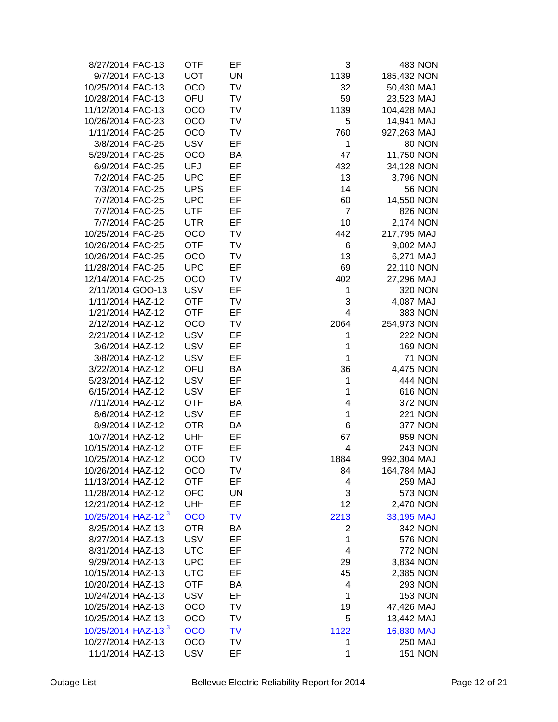| 8/27/2014 FAC-13               | <b>OTF</b> | EF        | 3              | 483 NON        |  |
|--------------------------------|------------|-----------|----------------|----------------|--|
| 9/7/2014 FAC-13                | <b>UOT</b> | <b>UN</b> | 1139           | 185,432 NON    |  |
| 10/25/2014 FAC-13              | <b>OCO</b> | <b>TV</b> | 32             | 50,430 MAJ     |  |
| 10/28/2014 FAC-13              | OFU        | <b>TV</b> | 59             | 23,523 MAJ     |  |
| 11/12/2014 FAC-13              | <b>OCO</b> | <b>TV</b> | 1139           | 104,428 MAJ    |  |
|                                | <b>OCO</b> | TV        | 5              | 14,941 MAJ     |  |
| 10/26/2014 FAC-23              |            |           |                |                |  |
| 1/11/2014 FAC-25               | <b>OCO</b> | TV        | 760            | 927,263 MAJ    |  |
| 3/8/2014 FAC-25                | <b>USV</b> | EF        | 1              | <b>80 NON</b>  |  |
| 5/29/2014 FAC-25               | <b>OCO</b> | BA        | 47             | 11,750 NON     |  |
| 6/9/2014 FAC-25                | <b>UFJ</b> | EF        | 432            | 34,128 NON     |  |
| 7/2/2014 FAC-25                | <b>UPC</b> | EF        | 13             | 3,796 NON      |  |
| 7/3/2014 FAC-25                | <b>UPS</b> | EF        | 14             | <b>56 NON</b>  |  |
| 7/7/2014 FAC-25                | <b>UPC</b> | EF        | 60             | 14,550 NON     |  |
| 7/7/2014 FAC-25                | <b>UTF</b> | EF        | $\overline{7}$ | <b>826 NON</b> |  |
| 7/7/2014 FAC-25                | <b>UTR</b> | EF        | 10             | 2,174 NON      |  |
| 10/25/2014 FAC-25              | <b>OCO</b> | <b>TV</b> | 442            | 217,795 MAJ    |  |
| 10/26/2014 FAC-25              | <b>OTF</b> | <b>TV</b> | 6              | 9,002 MAJ      |  |
| 10/26/2014 FAC-25              | <b>OCO</b> | TV        | 13             | 6,271 MAJ      |  |
| 11/28/2014 FAC-25              | <b>UPC</b> | EF        | 69             | 22,110 NON     |  |
| 12/14/2014 FAC-25              | <b>OCO</b> | <b>TV</b> | 402            | 27,296 MAJ     |  |
| 2/11/2014 GOO-13               | <b>USV</b> | EF        | 1              | 320 NON        |  |
| 1/11/2014 HAZ-12               | <b>OTF</b> | TV        | 3              | 4,087 MAJ      |  |
| 1/21/2014 HAZ-12               | <b>OTF</b> | EF        | 4              | <b>383 NON</b> |  |
| 2/12/2014 HAZ-12               | <b>OCO</b> | TV        | 2064           | 254,973 NON    |  |
| 2/21/2014 HAZ-12               | <b>USV</b> | EF        | 1              | <b>222 NON</b> |  |
| 3/6/2014 HAZ-12                | <b>USV</b> | EF        | 1              | <b>169 NON</b> |  |
| 3/8/2014 HAZ-12                | <b>USV</b> | EF        | $\mathbf{1}$   | <b>71 NON</b>  |  |
| 3/22/2014 HAZ-12               | OFU        | BA        | 36             | 4,475 NON      |  |
| 5/23/2014 HAZ-12               | <b>USV</b> | EF        | $\mathbf{1}$   | <b>444 NON</b> |  |
| 6/15/2014 HAZ-12               | <b>USV</b> | EF        | 1              | <b>616 NON</b> |  |
|                                |            |           | 4              | <b>372 NON</b> |  |
| 7/11/2014 HAZ-12               | <b>OTF</b> | BA        |                |                |  |
| 8/6/2014 HAZ-12                | <b>USV</b> | EF        | 1              | <b>221 NON</b> |  |
| 8/9/2014 HAZ-12                | <b>OTR</b> | BA        | 6              | <b>377 NON</b> |  |
| 10/7/2014 HAZ-12               | <b>UHH</b> | EF        | 67             | 959 NON        |  |
| 10/15/2014 HAZ-12              | <b>OTF</b> | EF        | 4              | <b>243 NON</b> |  |
| 10/25/2014 HAZ-12              | <b>OCO</b> | <b>TV</b> | 1884           | 992,304 MAJ    |  |
| 10/26/2014 HAZ-12              | OCO        | TV        | 84             | 164,784 MAJ    |  |
| 11/13/2014 HAZ-12              | <b>OTF</b> | EF        | 4              | 259 MAJ        |  |
| 11/28/2014 HAZ-12              | <b>OFC</b> | UN        | 3              | <b>573 NON</b> |  |
| 12/21/2014 HAZ-12              | <b>UHH</b> | EF        | 12             | 2,470 NON      |  |
| 10/25/2014 HAZ-12 <sup>3</sup> | <b>OCO</b> | <b>TV</b> | 2213           | 33,195 MAJ     |  |
| 8/25/2014 HAZ-13               | <b>OTR</b> | BA        | $\overline{c}$ | <b>342 NON</b> |  |
| 8/27/2014 HAZ-13               | <b>USV</b> | EF        | $\mathbf 1$    | <b>576 NON</b> |  |
| 8/31/2014 HAZ-13               | <b>UTC</b> | EF        | 4              | <b>772 NON</b> |  |
| 9/29/2014 HAZ-13               | <b>UPC</b> | EF        | 29             | 3,834 NON      |  |
| 10/15/2014 HAZ-13              | <b>UTC</b> | EF        | 45             | 2,385 NON      |  |
| 10/20/2014 HAZ-13              | <b>OTF</b> | BA        | 4              | <b>293 NON</b> |  |
| 10/24/2014 HAZ-13              | <b>USV</b> | EF        | 1              | <b>153 NON</b> |  |
| 10/25/2014 HAZ-13              | OCO        | TV        | 19             | 47,426 MAJ     |  |
| 10/25/2014 HAZ-13              | OCO        | TV        | 5              | 13,442 MAJ     |  |
| 10/25/2014 HAZ-13 <sup>3</sup> | <b>OCO</b> | <b>TV</b> |                |                |  |
|                                |            |           | 1122           | 16,830 MAJ     |  |
| 10/27/2014 HAZ-13              | OCO        | TV        | 1              | 250 MAJ        |  |
| 11/1/2014 HAZ-13               | <b>USV</b> | EF        | 1              | <b>151 NON</b> |  |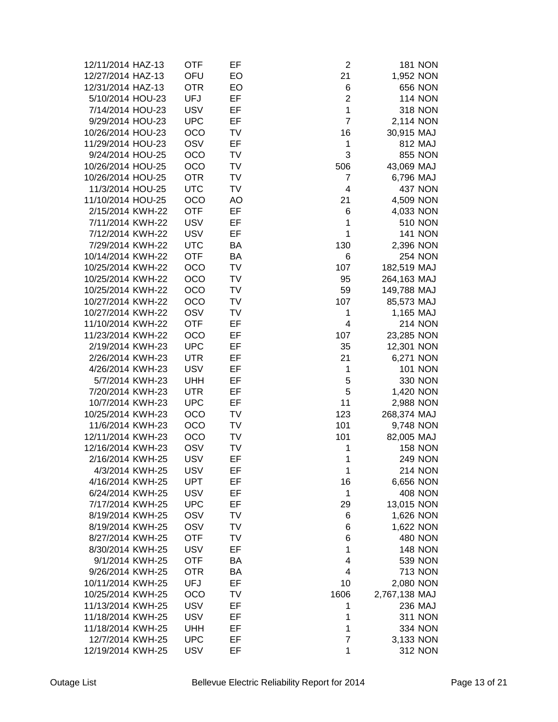| 12/11/2014 HAZ-13 | OTF        | EF        | $\overline{2}$ | <b>181 NON</b>              |
|-------------------|------------|-----------|----------------|-----------------------------|
| 12/27/2014 HAZ-13 | OFU        | EO        | 21             | 1,952 NON                   |
| 12/31/2014 HAZ-13 | <b>OTR</b> | EO        | 6              | 656 NON                     |
| 5/10/2014 HOU-23  | <b>UFJ</b> | EF        | $\overline{2}$ | <b>114 NON</b>              |
| 7/14/2014 HOU-23  | <b>USV</b> | EF        | 1              | <b>318 NON</b>              |
| 9/29/2014 HOU-23  | <b>UPC</b> | EF        | $\overline{7}$ | 2,114 NON                   |
| 10/26/2014 HOU-23 | OCO        | TV        | 16             | 30,915 MAJ                  |
| 11/29/2014 HOU-23 | OSV        | EF        | 1              | 812 MAJ                     |
|                   |            |           | 3              |                             |
| 9/24/2014 HOU-25  | OCO        | TV        |                | <b>855 NON</b>              |
| 10/26/2014 HOU-25 | OCO        | TV        | 506            | 43,069 MAJ                  |
| 10/26/2014 HOU-25 | <b>OTR</b> | TV        | 7              | 6,796 MAJ                   |
| 11/3/2014 HOU-25  | <b>UTC</b> | TV        | 4              | <b>437 NON</b>              |
| 11/10/2014 HOU-25 | OCO        | AO        | 21             | 4,509 NON                   |
| 2/15/2014 KWH-22  | <b>OTF</b> | EF        | 6              | 4,033 NON                   |
| 7/11/2014 KWH-22  | <b>USV</b> | EF        | 1              | <b>510 NON</b>              |
| 7/12/2014 KWH-22  | <b>USV</b> | EF        | 1              | <b>141 NON</b>              |
| 7/29/2014 KWH-22  | <b>UTC</b> | BA        | 130            | 2,396 NON                   |
| 10/14/2014 KWH-22 | <b>OTF</b> | <b>BA</b> | 6              | <b>254 NON</b>              |
| 10/25/2014 KWH-22 | OCO        | TV        | 107            | 182,519 MAJ                 |
| 10/25/2014 KWH-22 | OCO        | <b>TV</b> | 95             | 264,163 MAJ                 |
| 10/25/2014 KWH-22 | OCO        | <b>TV</b> | 59             | 149,788 MAJ                 |
| 10/27/2014 KWH-22 | OCO        | TV        | 107            | 85,573 MAJ                  |
| 10/27/2014 KWH-22 | OSV        | <b>TV</b> | 1              | 1,165 MAJ                   |
| 11/10/2014 KWH-22 | <b>OTF</b> | EF        | 4              | <b>214 NON</b>              |
| 11/23/2014 KWH-22 | OCO        | EF        | 107            | 23,285 NON                  |
| 2/19/2014 KWH-23  | <b>UPC</b> | EF        | 35             | 12,301 NON                  |
| 2/26/2014 KWH-23  | <b>UTR</b> | EF        | 21             | 6,271 NON                   |
| 4/26/2014 KWH-23  | <b>USV</b> | EF        | 1              | <b>101 NON</b>              |
| 5/7/2014 KWH-23   | <b>UHH</b> | EF        | 5              | 330 NON                     |
| 7/20/2014 KWH-23  | <b>UTR</b> | EF        | 5              | 1,420 NON                   |
| 10/7/2014 KWH-23  | <b>UPC</b> | EF        | 11             | 2,988 NON                   |
| 10/25/2014 KWH-23 | OCO        | TV        | 123            | 268,374 MAJ                 |
| 11/6/2014 KWH-23  | OCO        | TV        | 101            | 9,748 NON                   |
| 12/11/2014 KWH-23 | OCO        | TV        | 101            | 82,005 MAJ                  |
| 12/16/2014 KWH-23 | OSV        | TV        | 1              | <b>158 NON</b>              |
| 2/16/2014 KWH-25  | <b>USV</b> | EF        | 1              | <b>249 NON</b>              |
| 4/3/2014 KWH-25   | <b>USV</b> | EF        | 1              | <b>214 NON</b>              |
| 4/16/2014 KWH-25  | <b>UPT</b> | EF        | 16             | 6,656 NON                   |
| 6/24/2014 KWH-25  | <b>USV</b> | EF        | 1              | <b>408 NON</b>              |
| 7/17/2014 KWH-25  | <b>UPC</b> | EF        | 29             | 13,015 NON                  |
| 8/19/2014 KWH-25  | OSV        | TV        | 6              | 1,626 NON                   |
| 8/19/2014 KWH-25  | OSV        | TV        | 6              |                             |
| 8/27/2014 KWH-25  | <b>OTF</b> | TV        | 6              | 1,622 NON<br><b>480 NON</b> |
|                   |            |           | 1              |                             |
| 8/30/2014 KWH-25  | <b>USV</b> | EF        |                | <b>148 NON</b>              |
| 9/1/2014 KWH-25   | <b>OTF</b> | BA        | 4              | <b>539 NON</b>              |
| 9/26/2014 KWH-25  | <b>OTR</b> | BA        | 4              | <b>713 NON</b>              |
| 10/11/2014 KWH-25 | <b>UFJ</b> | EF        | 10             | 2,080 NON                   |
| 10/25/2014 KWH-25 | OCO        | TV        | 1606           | 2,767,138 MAJ               |
| 11/13/2014 KWH-25 | <b>USV</b> | EF        | 1              | 236 MAJ                     |
| 11/18/2014 KWH-25 | <b>USV</b> | EF        | 1              | <b>311 NON</b>              |
| 11/18/2014 KWH-25 | <b>UHH</b> | EF        | 1              | <b>334 NON</b>              |
| 12/7/2014 KWH-25  | <b>UPC</b> | EF        | 7              | 3,133 NON                   |
| 12/19/2014 KWH-25 | <b>USV</b> | EF        | 1              | <b>312 NON</b>              |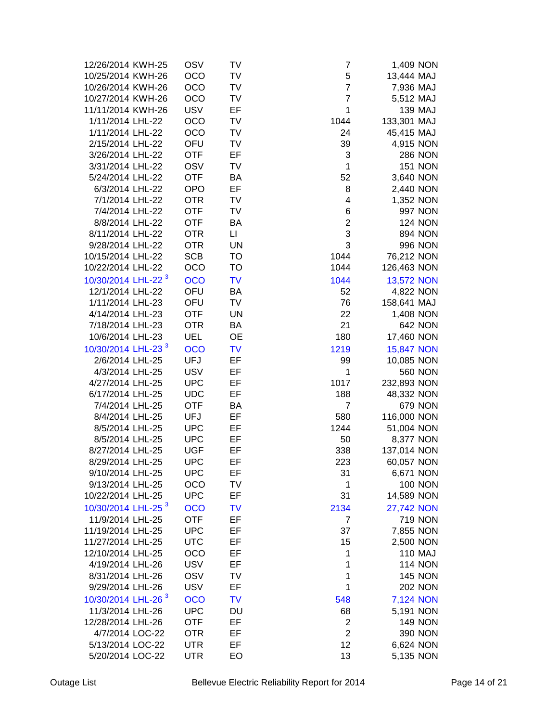| 12/26/2014 KWH-25              | OSV        | TV        | 7              | 1,409 NON         |
|--------------------------------|------------|-----------|----------------|-------------------|
| 10/25/2014 KWH-26              | <b>OCO</b> | TV        | 5              | 13,444 MAJ        |
| 10/26/2014 KWH-26              | <b>OCO</b> | TV        | $\overline{7}$ | 7,936 MAJ         |
| 10/27/2014 KWH-26              | <b>OCO</b> | TV        | 7              | 5,512 MAJ         |
| 11/11/2014 KWH-26              | <b>USV</b> | EF        | 1              | <b>139 MAJ</b>    |
| 1/11/2014 LHL-22               | <b>OCO</b> | TV        | 1044           | 133,301 MAJ       |
| 1/11/2014 LHL-22               | <b>OCO</b> | TV        | 24             |                   |
|                                |            |           |                | 45,415 MAJ        |
| 2/15/2014 LHL-22               | OFU        | TV        | 39             | 4,915 NON         |
| 3/26/2014 LHL-22               | <b>OTF</b> | EF        | 3              | <b>286 NON</b>    |
| 3/31/2014 LHL-22               | <b>OSV</b> | TV        | 1              | <b>151 NON</b>    |
| 5/24/2014 LHL-22               | <b>OTF</b> | BA        | 52             | 3,640 NON         |
| 6/3/2014 LHL-22                | <b>OPO</b> | EF        | 8              | 2,440 NON         |
| 7/1/2014 LHL-22                | <b>OTR</b> | TV        | 4              | 1,352 NON         |
| 7/4/2014 LHL-22                | <b>OTF</b> | TV        | 6              | 997 NON           |
| 8/8/2014 LHL-22                | <b>OTF</b> | BA        | $\overline{2}$ | <b>124 NON</b>    |
| 8/11/2014 LHL-22               | <b>OTR</b> | $\sqcup$  | 3              | <b>894 NON</b>    |
| 9/28/2014 LHL-22               | <b>OTR</b> | <b>UN</b> | 3              | 996 NON           |
| 10/15/2014 LHL-22              | <b>SCB</b> | TO        | 1044           | 76,212 NON        |
| 10/22/2014 LHL-22              | OCO        | <b>TO</b> | 1044           | 126,463 NON       |
| 10/30/2014 LHL-22 <sup>3</sup> | <b>OCO</b> | <b>TV</b> | 1044           | <b>13,572 NON</b> |
| 12/1/2014 LHL-22               | OFU        | BA        | 52             | 4,822 NON         |
| 1/11/2014 LHL-23               | OFU        | TV        | 76             | 158,641 MAJ       |
| 4/14/2014 LHL-23               | <b>OTF</b> | <b>UN</b> | 22             | 1,408 NON         |
| 7/18/2014 LHL-23               | <b>OTR</b> | BA        | 21             | <b>642 NON</b>    |
| 10/6/2014 LHL-23               | <b>UEL</b> | OE        | 180            | 17,460 NON        |
| 10/30/2014 LHL-23 <sup>3</sup> | <b>OCO</b> | <b>TV</b> | 1219           | <b>15,847 NON</b> |
| 2/6/2014 LHL-25                | <b>UFJ</b> | EF        | 99             | 10,085 NON        |
| 4/3/2014 LHL-25                | <b>USV</b> | EF        | 1              | <b>560 NON</b>    |
| 4/27/2014 LHL-25               | <b>UPC</b> | EF        | 1017           | 232,893 NON       |
| 6/17/2014 LHL-25               | <b>UDC</b> | EF        | 188            | 48,332 NON        |
| 7/4/2014 LHL-25                | <b>OTF</b> | BA        | $\overline{7}$ | <b>679 NON</b>    |
| 8/4/2014 LHL-25                | <b>UFJ</b> | EF        | 580            | 116,000 NON       |
|                                |            |           |                |                   |
| 8/5/2014 LHL-25                | <b>UPC</b> | EF        | 1244           | 51,004 NON        |
| 8/5/2014 LHL-25                | <b>UPC</b> | EF        | 50             | 8,377 NON         |
| 8/27/2014 LHL-25               | <b>UGF</b> | EF        | 338            | 137,014 NON       |
| 8/29/2014 LHL-25               | <b>UPC</b> | EF        | 223            | 60,057 NON        |
| 9/10/2014 LHL-25               | <b>UPC</b> | EF        | 31             | 6,671 NON         |
| 9/13/2014 LHL-25               | OCO        | TV        | 1              | <b>100 NON</b>    |
| 10/22/2014 LHL-25              | <b>UPC</b> | EF        | 31             | 14,589 NON        |
| 10/30/2014 LHL-25 <sup>3</sup> | <b>OCO</b> | <b>TV</b> | 2134           | <b>27,742 NON</b> |
| 11/9/2014 LHL-25               | <b>OTF</b> | EF        | $\overline{7}$ | <b>719 NON</b>    |
| 11/19/2014 LHL-25              | <b>UPC</b> | EF        | 37             | 7,855 NON         |
| 11/27/2014 LHL-25              | <b>UTC</b> | EF        | 15             | 2,500 NON         |
| 12/10/2014 LHL-25              | <b>OCO</b> | EF        | 1              | 110 MAJ           |
| 4/19/2014 LHL-26               | <b>USV</b> | EF        | 1              | <b>114 NON</b>    |
| 8/31/2014 LHL-26               | OSV        | TV        | 1              | <b>145 NON</b>    |
| 9/29/2014 LHL-26               | <b>USV</b> | EF        | $\mathbf 1$    | <b>202 NON</b>    |
| 10/30/2014 LHL-26 <sup>3</sup> | <b>OCO</b> | <b>TV</b> | 548            | 7,124 NON         |
| 11/3/2014 LHL-26               | <b>UPC</b> | DU        | 68             | 5,191 NON         |
| 12/28/2014 LHL-26              | <b>OTF</b> | EF        | $\overline{2}$ | <b>149 NON</b>    |
| 4/7/2014 LOC-22                | <b>OTR</b> | EF        | $\overline{2}$ | 390 NON           |
| 5/13/2014 LOC-22               | <b>UTR</b> | EF        | 12             | 6,624 NON         |
| 5/20/2014 LOC-22               | <b>UTR</b> | EO        | 13             | 5,135 NON         |
|                                |            |           |                |                   |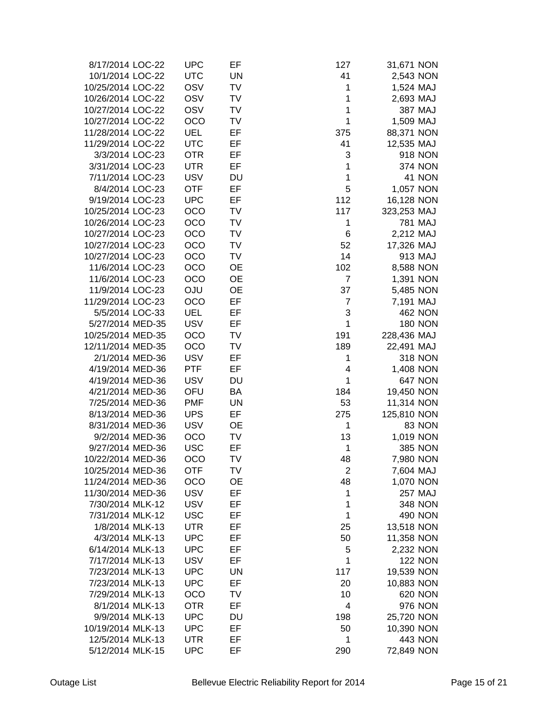| 8/17/2014 LOC-22  | <b>UPC</b> | EF        | 127                     | 31,671 NON     |
|-------------------|------------|-----------|-------------------------|----------------|
| 10/1/2014 LOC-22  | <b>UTC</b> | <b>UN</b> | 41                      | 2,543 NON      |
| 10/25/2014 LOC-22 | OSV        | <b>TV</b> | 1                       | 1,524 MAJ      |
| 10/26/2014 LOC-22 | <b>OSV</b> | <b>TV</b> | 1                       | 2,693 MAJ      |
| 10/27/2014 LOC-22 | OSV        | TV        | 1                       | 387 MAJ        |
| 10/27/2014 LOC-22 | <b>OCO</b> | <b>TV</b> | 1                       | 1,509 MAJ      |
| 11/28/2014 LOC-22 | <b>UEL</b> | EF        | 375                     | 88,371 NON     |
| 11/29/2014 LOC-22 | <b>UTC</b> | EF        | 41                      | 12,535 MAJ     |
| 3/3/2014 LOC-23   | <b>OTR</b> | EF        | 3                       | 918 NON        |
| 3/31/2014 LOC-23  | <b>UTR</b> | EF        | 1                       | <b>374 NON</b> |
| 7/11/2014 LOC-23  | <b>USV</b> | <b>DU</b> | 1                       | 41 NON         |
| 8/4/2014 LOC-23   | <b>OTF</b> | EF        | 5                       | 1,057 NON      |
| 9/19/2014 LOC-23  | <b>UPC</b> | EF        | 112                     | 16,128 NON     |
| 10/25/2014 LOC-23 | OCO        | TV        | 117                     | 323,253 MAJ    |
| 10/26/2014 LOC-23 | OCO        | TV        | 1                       | 781 MAJ        |
| 10/27/2014 LOC-23 | <b>OCO</b> | TV        | 6                       | 2,212 MAJ      |
| 10/27/2014 LOC-23 | OCO        | TV        | 52                      | 17,326 MAJ     |
| 10/27/2014 LOC-23 | <b>OCO</b> | TV        | 14                      | 913 MAJ        |
| 11/6/2014 LOC-23  | <b>OCO</b> | <b>OE</b> | 102                     | 8,588 NON      |
| 11/6/2014 LOC-23  | <b>OCO</b> | <b>OE</b> | 7                       | 1,391 NON      |
| 11/9/2014 LOC-23  | <b>OJU</b> | <b>OE</b> | 37                      | 5,485 NON      |
| 11/29/2014 LOC-23 | <b>OCO</b> | EF        | $\overline{7}$          | 7,191 MAJ      |
| 5/5/2014 LOC-33   | <b>UEL</b> | EF        | 3                       | <b>462 NON</b> |
| 5/27/2014 MED-35  | <b>USV</b> | EF        | $\mathbf 1$             | <b>180 NON</b> |
| 10/25/2014 MED-35 | <b>OCO</b> | TV        | 191                     | 228,436 MAJ    |
| 12/11/2014 MED-35 | <b>OCO</b> | TV        | 189                     | 22,491 MAJ     |
| 2/1/2014 MED-36   | <b>USV</b> | EF        | 1                       | <b>318 NON</b> |
| 4/19/2014 MED-36  | <b>PTF</b> | EF        | $\overline{\mathbf{4}}$ | 1,408 NON      |
| 4/19/2014 MED-36  | <b>USV</b> | DU        | 1                       | <b>647 NON</b> |
| 4/21/2014 MED-36  | OFU        | BA        | 184                     | 19,450 NON     |
| 7/25/2014 MED-36  | <b>PMF</b> | <b>UN</b> | 53                      | 11,314 NON     |
| 8/13/2014 MED-36  | <b>UPS</b> | EF        | 275                     | 125,810 NON    |
| 8/31/2014 MED-36  | <b>USV</b> | <b>OE</b> | 1                       | 83 NON         |
| 9/2/2014 MED-36   | <b>OCO</b> | TV        | 13                      | 1,019 NON      |
| 9/27/2014 MED-36  | <b>USC</b> | EF        | 1                       | <b>385 NON</b> |
| 10/22/2014 MED-36 | OCO        | <b>TV</b> | 48                      | 7,980 NON      |
| 10/25/2014 MED-36 | <b>OTF</b> | TV        | 2                       | 7,604 MAJ      |
| 11/24/2014 MED-36 | OCO        | OE        | 48                      | 1,070 NON      |
| 11/30/2014 MED-36 | <b>USV</b> | EF        | 1                       | <b>257 MAJ</b> |
| 7/30/2014 MLK-12  | <b>USV</b> | EF        | 1                       | 348 NON        |
| 7/31/2014 MLK-12  | <b>USC</b> | EF        | 1                       | 490 NON        |
| 1/8/2014 MLK-13   | <b>UTR</b> | EF        | 25                      | 13,518 NON     |
| 4/3/2014 MLK-13   | <b>UPC</b> | EF        | 50                      | 11,358 NON     |
| 6/14/2014 MLK-13  | <b>UPC</b> | EF        | 5                       | 2,232 NON      |
| 7/17/2014 MLK-13  | <b>USV</b> | EF        | 1                       | <b>122 NON</b> |
| 7/23/2014 MLK-13  | <b>UPC</b> | UN        | 117                     | 19,539 NON     |
| 7/23/2014 MLK-13  | <b>UPC</b> | EF        | 20                      | 10,883 NON     |
| 7/29/2014 MLK-13  | OCO        | TV        | 10                      | 620 NON        |
| 8/1/2014 MLK-13   | <b>OTR</b> | EF        | 4                       | 976 NON        |
| 9/9/2014 MLK-13   | <b>UPC</b> | DU        | 198                     | 25,720 NON     |
| 10/19/2014 MLK-13 | <b>UPC</b> | EF        | 50                      | 10,390 NON     |
| 12/5/2014 MLK-13  | <b>UTR</b> | EF        | 1                       | 443 NON        |
| 5/12/2014 MLK-15  | <b>UPC</b> | EF        | 290                     | 72,849 NON     |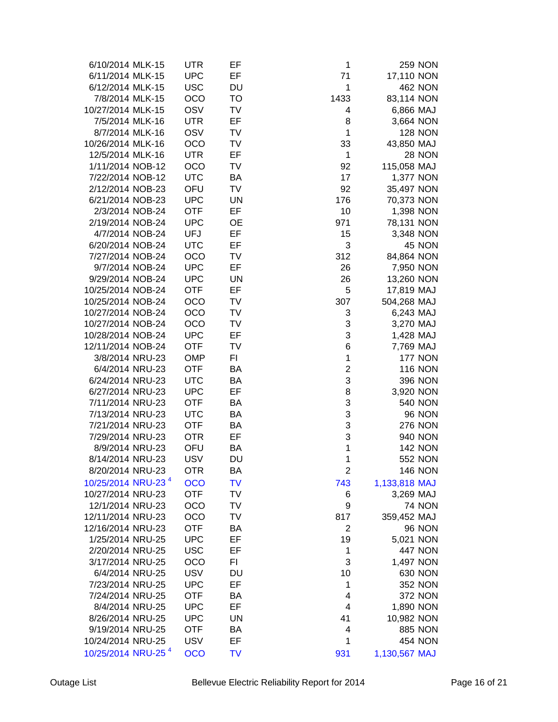| 6/10/2014 MLK-15               | UTR        | EF        | 1                       | <b>259 NON</b>      |  |
|--------------------------------|------------|-----------|-------------------------|---------------------|--|
| 6/11/2014 MLK-15               | <b>UPC</b> | EF        | 71                      | 17,110 NON          |  |
| 6/12/2014 MLK-15               | <b>USC</b> | DU        | 1                       | <b>462 NON</b>      |  |
| 7/8/2014 MLK-15                | <b>OCO</b> | <b>TO</b> | 1433                    | 83,114 NON          |  |
| 10/27/2014 MLK-15              | OSV        | <b>TV</b> | 4                       | 6,866 MAJ           |  |
| 7/5/2014 MLK-16                | <b>UTR</b> | EF        | 8                       | 3,664 NON           |  |
| 8/7/2014 MLK-16                | OSV        | TV        | $\mathbf{1}$            | <b>128 NON</b>      |  |
| 10/26/2014 MLK-16              | <b>OCO</b> | TV        | 33                      | 43,850 MAJ          |  |
| 12/5/2014 MLK-16               | <b>UTR</b> | EF        | 1                       | <b>28 NON</b>       |  |
| 1/11/2014 NOB-12               | <b>OCO</b> | TV        | 92                      | 115,058 MAJ         |  |
| 7/22/2014 NOB-12               | <b>UTC</b> | BA        | 17                      | 1,377 NON           |  |
| 2/12/2014 NOB-23               | OFU        | TV        | 92                      | 35,497 NON          |  |
| 6/21/2014 NOB-23               | <b>UPC</b> | <b>UN</b> | 176                     | 70,373 NON          |  |
| 2/3/2014 NOB-24                | <b>OTF</b> | EF        | 10                      | 1,398 NON           |  |
| 2/19/2014 NOB-24               | <b>UPC</b> | <b>OE</b> | 971                     | 78,131 NON          |  |
| 4/7/2014 NOB-24                | <b>UFJ</b> | EF        | 15                      |                     |  |
| 6/20/2014 NOB-24               | <b>UTC</b> | EF        | 3                       | 3,348 NON<br>45 NON |  |
|                                |            |           |                         |                     |  |
| 7/27/2014 NOB-24               | OCO        | TV        | 312                     | 84,864 NON          |  |
| 9/7/2014 NOB-24                | <b>UPC</b> | EF        | 26                      | 7,950 NON           |  |
| 9/29/2014 NOB-24               | <b>UPC</b> | UN        | 26                      | 13,260 NON          |  |
| 10/25/2014 NOB-24              | <b>OTF</b> | EF        | 5                       | 17,819 MAJ          |  |
| 10/25/2014 NOB-24              | <b>OCO</b> | TV        | 307                     | 504,268 MAJ         |  |
| 10/27/2014 NOB-24              | OCO        | TV        | 3                       | 6,243 MAJ           |  |
| 10/27/2014 NOB-24              | OCO        | TV        | 3                       | 3,270 MAJ           |  |
| 10/28/2014 NOB-24              | <b>UPC</b> | EF        | 3                       | 1,428 MAJ           |  |
| 12/11/2014 NOB-24              | <b>OTF</b> | TV        | 6                       | 7,769 MAJ           |  |
| 3/8/2014 NRU-23                | <b>OMP</b> | FI        | 1                       | <b>177 NON</b>      |  |
| 6/4/2014 NRU-23                | <b>OTF</b> | <b>BA</b> | $\overline{\mathbf{c}}$ | <b>116 NON</b>      |  |
| 6/24/2014 NRU-23               | <b>UTC</b> | BA        | 3                       | <b>396 NON</b>      |  |
| 6/27/2014 NRU-23               | <b>UPC</b> | EF        | 8                       | 3,920 NON           |  |
| 7/11/2014 NRU-23               | <b>OTF</b> | BA        | 3                       | <b>540 NON</b>      |  |
| 7/13/2014 NRU-23               | <b>UTC</b> | BA        | 3                       | <b>96 NON</b>       |  |
| 7/21/2014 NRU-23               | <b>OTF</b> | BA        | 3                       | <b>276 NON</b>      |  |
| 7/29/2014 NRU-23               | <b>OTR</b> | EF        | 3                       | 940 NON             |  |
| 8/9/2014 NRU-23                | OFU        | BA        | 1                       | <b>142 NON</b>      |  |
| 8/14/2014 NRU-23               | <b>USV</b> | DU        | 1                       | <b>552 NON</b>      |  |
| 8/20/2014 NRU-23               | <b>OTR</b> | BA        | $\overline{2}$          | <b>146 NON</b>      |  |
| 10/25/2014 NRU-23 <sup>4</sup> | <b>OCO</b> | <b>TV</b> | 743                     | 1,133,818 MAJ       |  |
| 10/27/2014 NRU-23              | <b>OTF</b> | TV        | 6                       | 3,269 MAJ           |  |
| 12/1/2014 NRU-23               | OCO        | TV        | 9                       | <b>74 NON</b>       |  |
| 12/11/2014 NRU-23              | OCO        | TV        | 817                     | 359,452 MAJ         |  |
| 12/16/2014 NRU-23              | <b>OTF</b> | BA        | $\overline{2}$          | <b>96 NON</b>       |  |
| 1/25/2014 NRU-25               | <b>UPC</b> | EF        | 19                      | 5,021 NON           |  |
| 2/20/2014 NRU-25               | <b>USC</b> | EF        | 1                       | <b>447 NON</b>      |  |
| 3/17/2014 NRU-25               | OCO        | FI.       | 3                       | 1,497 NON           |  |
| 6/4/2014 NRU-25                | <b>USV</b> | DU        | 10                      | 630 NON             |  |
| 7/23/2014 NRU-25               | <b>UPC</b> | EF        | 1                       | <b>352 NON</b>      |  |
| 7/24/2014 NRU-25               | <b>OTF</b> | BA        | 4                       | <b>372 NON</b>      |  |
| 8/4/2014 NRU-25                | <b>UPC</b> | EF        | 4                       | 1,890 NON           |  |
| 8/26/2014 NRU-25               | <b>UPC</b> | <b>UN</b> | 41                      | 10,982 NON          |  |
| 9/19/2014 NRU-25               | <b>OTF</b> | BA        | 4                       | <b>885 NON</b>      |  |
| 10/24/2014 NRU-25              | <b>USV</b> | EF        | 1                       | 454 NON             |  |
| 10/25/2014 NRU-25 <sup>4</sup> | <b>OCO</b> | TV        | 931                     | 1,130,567 MAJ       |  |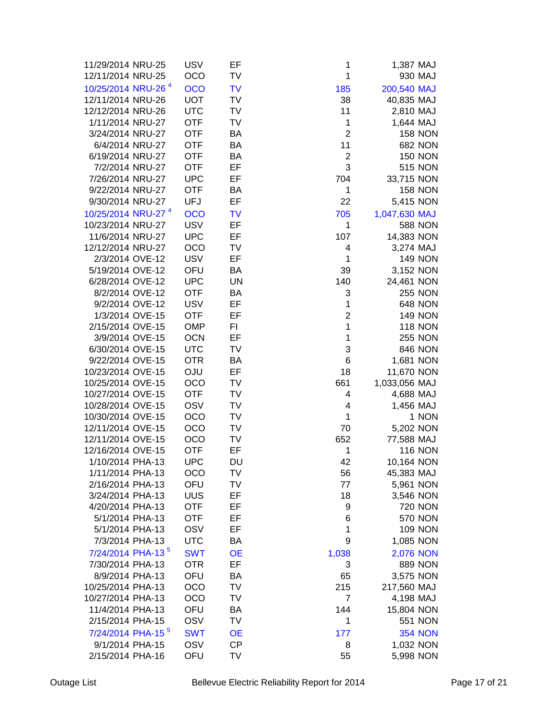| 11/29/2014 NRU-25              | <b>USV</b> | EF        | 1              | 1,387 MAJ      |       |
|--------------------------------|------------|-----------|----------------|----------------|-------|
| 12/11/2014 NRU-25              | OCO        | TV        | 1              | 930 MAJ        |       |
| 10/25/2014 NRU-26 <sup>4</sup> | <b>OCO</b> | <b>TV</b> |                | 200,540 MAJ    |       |
| 12/11/2014 NRU-26              | <b>UOT</b> | TV        | 185            |                |       |
|                                |            |           | 38             | 40,835 MAJ     |       |
| 12/12/2014 NRU-26              | <b>UTC</b> | <b>TV</b> | 11             | 2,810 MAJ      |       |
| 1/11/2014 NRU-27               | <b>OTF</b> | TV        | 1              | 1,644 MAJ      |       |
| 3/24/2014 NRU-27               | <b>OTF</b> | BA        | $\overline{2}$ | <b>158 NON</b> |       |
| 6/4/2014 NRU-27                | <b>OTF</b> | BA        | 11             | <b>682 NON</b> |       |
| 6/19/2014 NRU-27               | <b>OTF</b> | BA        | $\overline{2}$ | <b>150 NON</b> |       |
| 7/2/2014 NRU-27                | <b>OTF</b> | EF        | 3              | <b>515 NON</b> |       |
| 7/26/2014 NRU-27               | <b>UPC</b> | EF        | 704            | 33,715 NON     |       |
| 9/22/2014 NRU-27               | <b>OTF</b> | BA        | 1              | <b>158 NON</b> |       |
| 9/30/2014 NRU-27               | <b>UFJ</b> | EF        | 22             | 5,415 NON      |       |
| 10/25/2014 NRU-27 <sup>4</sup> | <b>OCO</b> | <b>TV</b> | 705            | 1,047,630 MAJ  |       |
| 10/23/2014 NRU-27              | <b>USV</b> | EF        | 1              | <b>588 NON</b> |       |
| 11/6/2014 NRU-27               | <b>UPC</b> | EF        | 107            | 14,383 NON     |       |
| 12/12/2014 NRU-27              | <b>OCO</b> | TV        | 4              | 3,274 MAJ      |       |
| 2/3/2014 OVE-12                | <b>USV</b> | EF        | 1              | <b>149 NON</b> |       |
| 5/19/2014 OVE-12               | OFU        | BA        | 39             | 3,152 NON      |       |
| 6/28/2014 OVE-12               | <b>UPC</b> | <b>UN</b> | 140            | 24,461 NON     |       |
| 8/2/2014 OVE-12                | <b>OTF</b> | BA        | 3              | <b>255 NON</b> |       |
| 9/2/2014 OVE-12                | <b>USV</b> | EF        | 1              | <b>648 NON</b> |       |
| 1/3/2014 OVE-15                | <b>OTF</b> | EF        | $\overline{2}$ | <b>149 NON</b> |       |
| 2/15/2014 OVE-15               | <b>OMP</b> | FI.       | $\mathbf 1$    | <b>118 NON</b> |       |
|                                |            |           |                |                |       |
| 3/9/2014 OVE-15                | <b>OCN</b> | EF        | $\mathbf{1}$   | <b>255 NON</b> |       |
| 6/30/2014 OVE-15               | <b>UTC</b> | TV        | 3              | <b>846 NON</b> |       |
| 9/22/2014 OVE-15               | <b>OTR</b> | BA        | 6              | 1,681 NON      |       |
| 10/23/2014 OVE-15              | <b>OJU</b> | EF        | 18             | 11,670 NON     |       |
| 10/25/2014 OVE-15              | <b>OCO</b> | TV        | 661            | 1,033,056 MAJ  |       |
| 10/27/2014 OVE-15              | <b>OTF</b> | TV        | 4              | 4,688 MAJ      |       |
| 10/28/2014 OVE-15              | OSV        | TV        | 4              | 1,456 MAJ      |       |
| 10/30/2014 OVE-15              | <b>OCO</b> | TV        | 1              |                | 1 NON |
| 12/11/2014 OVE-15              | OCO        | TV        | 70             | 5,202 NON      |       |
| 12/11/2014 OVE-15              | OCO        | TV        | 652            | 77,588 MAJ     |       |
| 12/16/2014 OVE-15              | <b>OTF</b> | EF        | 1              | <b>116 NON</b> |       |
| 1/10/2014 PHA-13               | <b>UPC</b> | <b>DU</b> | 42             | 10,164 NON     |       |
| 1/11/2014 PHA-13               | OCO        | TV        | 56             | 45,383 MAJ     |       |
| 2/16/2014 PHA-13               | OFU        | TV        | 77             | 5,961 NON      |       |
| 3/24/2014 PHA-13               | <b>UUS</b> | EF        | 18             | 3,546 NON      |       |
| 4/20/2014 PHA-13               | <b>OTF</b> | EF        | 9              | <b>720 NON</b> |       |
| 5/1/2014 PHA-13                | <b>OTF</b> | EF        | 6              | <b>570 NON</b> |       |
| 5/1/2014 PHA-13                | OSV        | EF        | 1              | <b>109 NON</b> |       |
| 7/3/2014 PHA-13                | <b>UTC</b> | BA        | 9              | 1,085 NON      |       |
| 7/24/2014 PHA-13 <sup>5</sup>  | <b>SWT</b> | <b>OE</b> | 1,038          | 2,076 NON      |       |
| 7/30/2014 PHA-13               | <b>OTR</b> | EF        | 3              | <b>889 NON</b> |       |
| 8/9/2014 PHA-13                | OFU        | BA        | 65             | 3,575 NON      |       |
| 10/25/2014 PHA-13              | <b>OCO</b> | TV        | 215            | 217,560 MAJ    |       |
| 10/27/2014 PHA-13              | OCO        | TV        | $\overline{7}$ | 4,198 MAJ      |       |
|                                |            |           | 144            |                |       |
| 11/4/2014 PHA-13               | OFU        | BA        |                | 15,804 NON     |       |
| 2/15/2014 PHA-15               | OSV        | TV        | 1              | 551 NON        |       |
| 7/24/2014 PHA-15 <sup>5</sup>  | <b>SWT</b> | <b>OE</b> | 177            | <b>354 NON</b> |       |
| 9/1/2014 PHA-15                | OSV        | <b>CP</b> | 8              | 1,032 NON      |       |
| 2/15/2014 PHA-16               | OFU        | TV        | 55             | 5,998 NON      |       |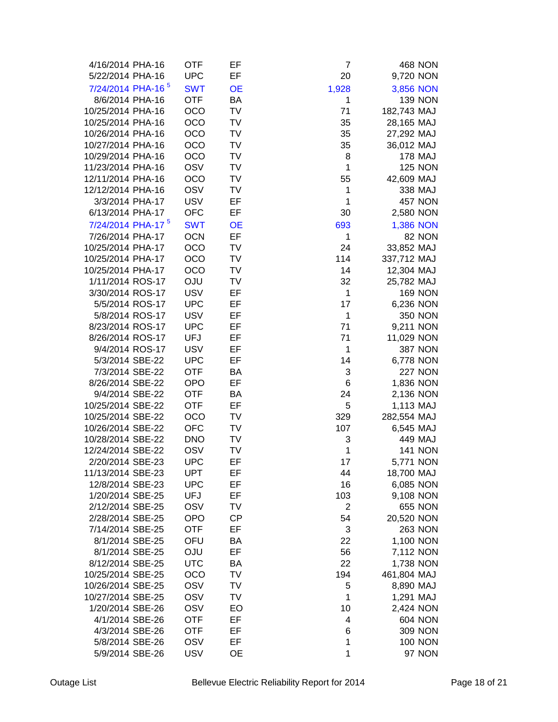| 4/16/2014 PHA-16              | <b>OTF</b> | EF        | 7              |                  | 468 NON        |
|-------------------------------|------------|-----------|----------------|------------------|----------------|
| 5/22/2014 PHA-16              | <b>UPC</b> | EF        | 20             | 9,720 NON        |                |
| 7/24/2014 PHA-16 <sup>5</sup> | <b>SWT</b> | <b>OE</b> | 1,928          | 3,856 NON        |                |
| 8/6/2014 PHA-16               | <b>OTF</b> | BA        | 1              |                  | <b>139 NON</b> |
| 10/25/2014 PHA-16             | <b>OCO</b> | TV        | 71             | 182,743 MAJ      |                |
|                               | <b>OCO</b> | TV        |                |                  |                |
| 10/25/2014 PHA-16             |            |           | 35             | 28,165 MAJ       |                |
| 10/26/2014 PHA-16             | OCO        | TV        | 35             | 27,292 MAJ       |                |
| 10/27/2014 PHA-16             | <b>OCO</b> | TV        | 35             | 36,012 MAJ       |                |
| 10/29/2014 PHA-16             | OCO        | TV        | 8              |                  | <b>178 MAJ</b> |
| 11/23/2014 PHA-16             | OSV        | TV        | $\mathbf{1}$   |                  | <b>125 NON</b> |
| 12/11/2014 PHA-16             | OCO        | TV        | 55             | 42,609 MAJ       |                |
| 12/12/2014 PHA-16             | OSV        | TV        | 1              |                  | 338 MAJ        |
| 3/3/2014 PHA-17               | <b>USV</b> | EF        | $\mathbf{1}$   |                  | <b>457 NON</b> |
| 6/13/2014 PHA-17              | <b>OFC</b> | EF        | 30             | 2,580 NON        |                |
| 7/24/2014 PHA-17 <sup>5</sup> | <b>SWT</b> | <b>OE</b> | 693            | <b>1,386 NON</b> |                |
| 7/26/2014 PHA-17              | <b>OCN</b> | EF        | 1              |                  | 82 NON         |
| 10/25/2014 PHA-17             | <b>OCO</b> | TV        | 24             | 33,852 MAJ       |                |
| 10/25/2014 PHA-17             | <b>OCO</b> | TV        | 114            | 337,712 MAJ      |                |
| 10/25/2014 PHA-17             | OCO        | TV        | 14             | 12,304 MAJ       |                |
| 1/11/2014 ROS-17              | <b>OJU</b> | TV        | 32             | 25,782 MAJ       |                |
| 3/30/2014 ROS-17              | <b>USV</b> | EF        | $\mathbf{1}$   |                  | <b>169 NON</b> |
| 5/5/2014 ROS-17               | <b>UPC</b> | EF        | 17             | 6,236 NON        |                |
| 5/8/2014 ROS-17               | <b>USV</b> | EF        | $\mathbf{1}$   |                  | <b>350 NON</b> |
| 8/23/2014 ROS-17              | <b>UPC</b> | EF        | 71             | 9,211 NON        |                |
| 8/26/2014 ROS-17              | <b>UFJ</b> | EF        | 71             |                  |                |
|                               |            |           | $\mathbf{1}$   | 11,029 NON       |                |
| 9/4/2014 ROS-17               | <b>USV</b> | EF        |                |                  | <b>387 NON</b> |
| 5/3/2014 SBE-22               | <b>UPC</b> | EF        | 14             | 6,778 NON        |                |
| 7/3/2014 SBE-22               | <b>OTF</b> | BA        | 3              |                  | <b>227 NON</b> |
| 8/26/2014 SBE-22              | <b>OPO</b> | EF        | 6              | 1,836 NON        |                |
| 9/4/2014 SBE-22               | <b>OTF</b> | BA        | 24             | 2,136 NON        |                |
| 10/25/2014 SBE-22             | <b>OTF</b> | EF        | 5              | 1,113 MAJ        |                |
| 10/25/2014 SBE-22             | <b>OCO</b> | <b>TV</b> | 329            | 282,554 MAJ      |                |
| 10/26/2014 SBE-22             | <b>OFC</b> | <b>TV</b> | 107            | 6,545 MAJ        |                |
| 10/28/2014 SBE-22             | <b>DNO</b> | TV        | 3              |                  | 449 MAJ        |
| 12/24/2014 SBE-22             | OSV        | TV        | 1              |                  | <b>141 NON</b> |
| 2/20/2014 SBE-23              | <b>UPC</b> | EF        | 17             | 5,771 NON        |                |
| 11/13/2014 SBE-23             | <b>UPT</b> | EF        | 44             | 18,700 MAJ       |                |
| 12/8/2014 SBE-23              | <b>UPC</b> | EF        | 16             | 6,085 NON        |                |
| 1/20/2014 SBE-25              | <b>UFJ</b> | EF        | 103            | 9,108 NON        |                |
| 2/12/2014 SBE-25              | OSV        | TV        | $\overline{2}$ |                  | 655 NON        |
| 2/28/2014 SBE-25              | <b>OPO</b> | <b>CP</b> | 54             | 20,520 NON       |                |
| 7/14/2014 SBE-25              | <b>OTF</b> | EF        | 3              |                  | <b>263 NON</b> |
| 8/1/2014 SBE-25               | OFU        | BA        | 22             | 1,100 NON        |                |
| 8/1/2014 SBE-25               | <b>ULO</b> | EF        | 56             | 7,112 NON        |                |
| 8/12/2014 SBE-25              | <b>UTC</b> | BA        | 22             | 1,738 NON        |                |
| 10/25/2014 SBE-25             | OCO        | TV        | 194            | 461,804 MAJ      |                |
| 10/26/2014 SBE-25             | OSV        | TV        | 5              | 8,890 MAJ        |                |
| 10/27/2014 SBE-25             | OSV        | TV        | 1              | 1,291 MAJ        |                |
| 1/20/2014 SBE-26              | OSV        | EO        | 10             | 2,424 NON        |                |
| 4/1/2014 SBE-26               | <b>OTF</b> | EF        | 4              |                  | <b>604 NON</b> |
| 4/3/2014 SBE-26               | <b>OTF</b> | EF        | 6              |                  | <b>309 NON</b> |
| 5/8/2014 SBE-26               |            | EF        | 1              |                  | <b>100 NON</b> |
|                               | OSV        |           |                |                  |                |
| 5/9/2014 SBE-26               | <b>USV</b> | <b>OE</b> | 1              |                  | <b>97 NON</b>  |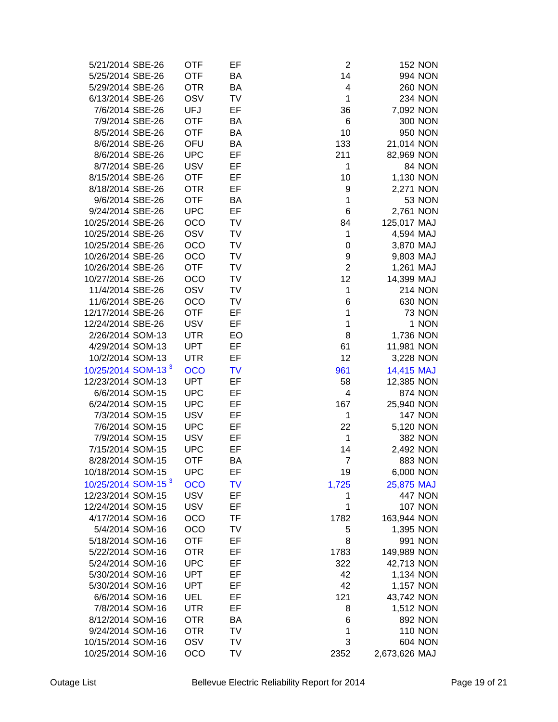| 5/21/2014 SBE-26               | <b>OTF</b> | EF        | $\overline{c}$ |               | <b>152 NON</b> |
|--------------------------------|------------|-----------|----------------|---------------|----------------|
| 5/25/2014 SBE-26               | <b>OTF</b> | BA        | 14             |               | 994 NON        |
| 5/29/2014 SBE-26               | <b>OTR</b> | BA        | 4              |               | <b>260 NON</b> |
| 6/13/2014 SBE-26               | OSV        | <b>TV</b> | $\mathbf{1}$   |               | <b>234 NON</b> |
| 7/6/2014 SBE-26                | <b>UFJ</b> | EF        | 36             | 7,092 NON     |                |
| 7/9/2014 SBE-26                | <b>OTF</b> | BA        | 6              |               | <b>300 NON</b> |
| 8/5/2014 SBE-26                | <b>OTF</b> | BA        | 10             |               | 950 NON        |
| 8/6/2014 SBE-26                | OFU        | BA        | 133            | 21,014 NON    |                |
| 8/6/2014 SBE-26                | <b>UPC</b> | EF        | 211            | 82,969 NON    |                |
| 8/7/2014 SBE-26                | <b>USV</b> | EF        | $\mathbf 1$    |               | 84 NON         |
| 8/15/2014 SBE-26               | <b>OTF</b> | EF        | 10             | 1,130 NON     |                |
| 8/18/2014 SBE-26               | <b>OTR</b> | EF        | 9              | 2,271 NON     |                |
| 9/6/2014 SBE-26                | <b>OTF</b> | BA        | $\mathbf{1}$   |               | <b>53 NON</b>  |
| 9/24/2014 SBE-26               | <b>UPC</b> | EF        | 6              | 2,761 NON     |                |
| 10/25/2014 SBE-26              | OCO        | TV        | 84             | 125,017 MAJ   |                |
| 10/25/2014 SBE-26              | OSV        | TV        | 1              | 4,594 MAJ     |                |
| 10/25/2014 SBE-26              | OCO        | TV        | 0              | 3,870 MAJ     |                |
| 10/26/2014 SBE-26              | <b>OCO</b> | TV        | 9              | 9,803 MAJ     |                |
| 10/26/2014 SBE-26              | <b>OTF</b> | TV        | $\overline{2}$ | 1,261 MAJ     |                |
| 10/27/2014 SBE-26              | <b>OCO</b> | TV        | 12             | 14,399 MAJ    |                |
| 11/4/2014 SBE-26               | OSV        | TV        | $\mathbf{1}$   |               | <b>214 NON</b> |
| 11/6/2014 SBE-26               | <b>OCO</b> | TV        | 6              |               | 630 NON        |
| 12/17/2014 SBE-26              | <b>OTF</b> | EF        | 1              |               | <b>73 NON</b>  |
| 12/24/2014 SBE-26              | <b>USV</b> | EF        | 1              |               | 1 NON          |
| 2/26/2014 SOM-13               | <b>UTR</b> | EO        | 8              | 1,736 NON     |                |
|                                |            | EF        |                |               |                |
| 4/29/2014 SOM-13               | <b>UPT</b> |           | 61             | 11,981 NON    |                |
| 10/2/2014 SOM-13               | <b>UTR</b> | EF        | 12             | 3,228 NON     |                |
| 10/25/2014 SOM-13 <sup>3</sup> | <b>OCO</b> | <b>TV</b> | 961            | 14,415 MAJ    |                |
| 12/23/2014 SOM-13              | <b>UPT</b> | EF        | 58             | 12,385 NON    |                |
| 6/6/2014 SOM-15                | <b>UPC</b> | EF        | 4              |               | <b>874 NON</b> |
| 6/24/2014 SOM-15               | <b>UPC</b> | EF        | 167            | 25,940 NON    |                |
| 7/3/2014 SOM-15                | <b>USV</b> | EF        | 1              |               | <b>147 NON</b> |
| 7/6/2014 SOM-15                | <b>UPC</b> | EF        | 22             | 5,120 NON     |                |
| 7/9/2014 SOM-15                | <b>USV</b> | EF        | 1              |               | <b>382 NON</b> |
| 7/15/2014 SOM-15               | <b>UPC</b> | EF        | 14             | 2,492 NON     |                |
| 8/28/2014 SOM-15               | <b>OTF</b> | BA        | $\overline{7}$ |               | <b>883 NON</b> |
| 10/18/2014 SOM-15              | <b>UPC</b> | EF        | 19             | 6,000 NON     |                |
| 10/25/2014 SOM-15 <sup>3</sup> | <b>OCO</b> | TV        | 1,725          | 25,875 MAJ    |                |
| 12/23/2014 SOM-15              | <b>USV</b> | EF        | 1              |               | <b>447 NON</b> |
| 12/24/2014 SOM-15              | <b>USV</b> | EF        | 1              |               | <b>107 NON</b> |
| 4/17/2014 SOM-16               | <b>OCO</b> | TF        | 1782           | 163,944 NON   |                |
| 5/4/2014 SOM-16                | OCO        | TV        | 5              | 1,395 NON     |                |
| 5/18/2014 SOM-16               | <b>OTF</b> | EF        | 8              |               | 991 NON        |
| 5/22/2014 SOM-16               | <b>OTR</b> | EF        | 1783           | 149,989 NON   |                |
| 5/24/2014 SOM-16               | <b>UPC</b> | EF        | 322            | 42,713 NON    |                |
| 5/30/2014 SOM-16               | <b>UPT</b> | EF        | 42             | 1,134 NON     |                |
| 5/30/2014 SOM-16               | <b>UPT</b> | EF        | 42             | 1,157 NON     |                |
| 6/6/2014 SOM-16                | UEL        | EF        | 121            | 43,742 NON    |                |
| 7/8/2014 SOM-16                | <b>UTR</b> | EF        | 8              | 1,512 NON     |                |
| 8/12/2014 SOM-16               | <b>OTR</b> | BA        | 6              |               | <b>892 NON</b> |
| 9/24/2014 SOM-16               | <b>OTR</b> | TV        | 1              |               | <b>110 NON</b> |
| 10/15/2014 SOM-16              | OSV        | TV        | 3              |               | <b>604 NON</b> |
|                                |            |           |                |               |                |
| 10/25/2014 SOM-16              | OCO        | TV        | 2352           | 2,673,626 MAJ |                |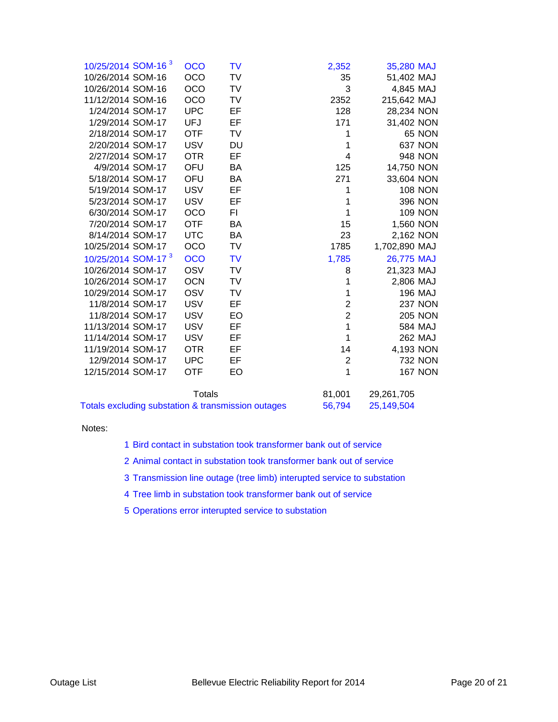| 10/25/2014 SOM-16 <sup>3</sup> | <b>OCO</b>    | TV        | 2,352          | 35,280 MAJ    |                |
|--------------------------------|---------------|-----------|----------------|---------------|----------------|
| 10/26/2014 SOM-16              | OCO           | TV        | 35             | 51,402 MAJ    |                |
| 10/26/2014 SOM-16              | OCO           | TV        | 3              | 4,845 MAJ     |                |
| 11/12/2014 SOM-16              | <b>OCO</b>    | TV        | 2352           | 215,642 MAJ   |                |
| 1/24/2014 SOM-17               | <b>UPC</b>    | EF        | 128            | 28,234 NON    |                |
| 1/29/2014 SOM-17               | <b>UFJ</b>    | EF        | 171            | 31,402 NON    |                |
| 2/18/2014 SOM-17               | <b>OTF</b>    | TV        | 1              |               | <b>65 NON</b>  |
| 2/20/2014 SOM-17               | <b>USV</b>    | <b>DU</b> | 1              |               | <b>637 NON</b> |
| 2/27/2014 SOM-17               | <b>OTR</b>    | EF        | 4              |               | <b>948 NON</b> |
| 4/9/2014 SOM-17                | OFU           | BA        | 125            | 14,750 NON    |                |
| 5/18/2014 SOM-17               | OFU           | BA        | 271            | 33,604 NON    |                |
| 5/19/2014 SOM-17               | <b>USV</b>    | EF        | 1              |               | <b>108 NON</b> |
| 5/23/2014 SOM-17               | <b>USV</b>    | EF        | 1              |               | 396 NON        |
| 6/30/2014 SOM-17               | OCO           | FI.       | 1              |               | <b>109 NON</b> |
| 7/20/2014 SOM-17               | OTF           | BA        | 15             | 1,560 NON     |                |
| 8/14/2014 SOM-17               | <b>UTC</b>    | BA        | 23             | 2,162 NON     |                |
| 10/25/2014 SOM-17              | OCO           | TV        | 1785           | 1,702,890 MAJ |                |
| 10/25/2014 SOM-17 <sup>3</sup> | OCO           | <b>TV</b> | 1,785          | 26,775 MAJ    |                |
| 10/26/2014 SOM-17              | <b>OSV</b>    | <b>TV</b> | 8              | 21,323 MAJ    |                |
| 10/26/2014 SOM-17              | <b>OCN</b>    | TV        | 1              | 2,806 MAJ     |                |
| 10/29/2014 SOM-17              | OSV           | TV        | 1              |               | <b>196 MAJ</b> |
| 11/8/2014 SOM-17               | <b>USV</b>    | EF        | 2              |               | <b>237 NON</b> |
| 11/8/2014 SOM-17               | <b>USV</b>    | EO        | $\overline{2}$ |               | <b>205 NON</b> |
| 11/13/2014 SOM-17              | <b>USV</b>    | EF        | 1              |               | 584 MAJ        |
| 11/14/2014 SOM-17              | <b>USV</b>    | EF        | 1              |               | 262 MAJ        |
| 11/19/2014 SOM-17              | <b>OTR</b>    | EF        | 14             | 4,193 NON     |                |
| 12/9/2014 SOM-17               | <b>UPC</b>    | EF        | $\mathbf{2}$   |               | <b>732 NON</b> |
| 12/15/2014 SOM-17              | <b>OTF</b>    | EO        | 1              |               | <b>167 NON</b> |
|                                | <b>Totals</b> |           | 81,001         | 29,261,705    |                |

| Totals                                             | 81.001 | 29,261,705 |
|----------------------------------------------------|--------|------------|
| Totals excluding substation & transmission outages | 56.794 | 25,149,504 |

Notes:

- 1 Bird contact in substation took transformer bank out of service
- 2 Animal contact in substation took transformer bank out of service
- 3 Transmission line outage (tree limb) interupted service to substation
- 4 Tree limb in substation took transformer bank out of service
- 5 Operations error interupted service to substation